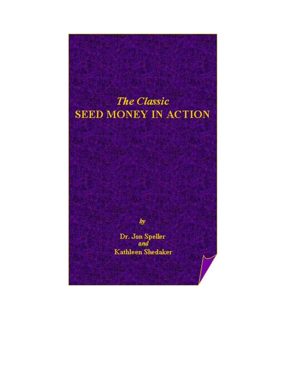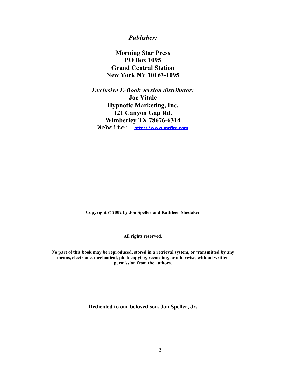## *Publisher:*

**Morning Star Press PO Box 1095 Grand Central Station New York NY 10163-1095** 

*Exclusive E-Book version distributor:*  **Joe Vitale Hypnotic Marketing, Inc. 121 Canyon Gap Rd. Wimberley TX 78676-6314 Website: [http://www.mrfire.com](http://www.mrfire.com/)**

**Copyright © 2002 by Jon Speller and Kathleen Shedaker** 

**All rights reserved.** 

**No part of this book may be reproduced, stored in a retrieval system, or transmitted by any means, electronic, mechanical, photocopying, recording, or otherwise, without written permission from the authors.** 

**Dedicated to our beloved son, Jon Speller, Jr.**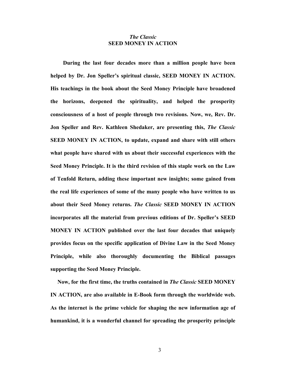## *The Classic*  **SEED MONEY IN ACTION**

**During the last four decades more than a million people have been helped by Dr. Jon Speller's spiritual classic, SEED MONEY IN ACTION. His teachings in the book about the Seed Money Principle have broadened the horizons, deepened the spirituality, and helped the prosperity consciousness of a host of people through two revisions. Now, we, Rev. Dr. Jon Speller and Rev. Kathleen Shedaker, are presenting this,** *The Classic* **SEED MONEY IN ACTION, to update, expand and share with still others what people have shared with us about their successful experiences with the Seed Money Principle. It is the third revision of this staple work on the Law of Tenfold Return, adding these important new insights; some gained from the real life experiences of some of the many people who have written to us about their Seed Money returns.** *The Classic* **SEED MONEY IN ACTION incorporates all the material from previous editions of Dr. Speller's SEED MONEY IN ACTION published over the last four decades that uniquely provides focus on the specific application of Divine Law in the Seed Money Principle, while also thoroughly documenting the Biblical passages supporting the Seed Money Principle.** 

 **Now, for the first time, the truths contained in** *The Classic* **SEED MONEY IN ACTION, are also available in E-Book form through the worldwide web. As the internet is the prime vehicle for shaping the new information age of humankind, it is a wonderful channel for spreading the prosperity principle**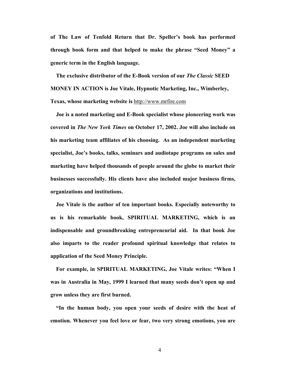**of The Law of Tenfold Return that Dr. Speller's book has performed through book form and that helped to make the phrase "Seed Money" a generic term in the English language.** 

 **The exclusive distributor of the E-Book version of our** *The Classic* **SEED MONEY IN ACTION is Joe Vitale, Hypnotic Marketing, Inc., Wimberley, Texas, whose marketing website is** [http://www.mrfire.com](http://www.mrfire.com/) 

 **Joe is a noted marketing and E-Book specialist whose pioneering work was covered in** *The New York Times* **on October 17, 2002. Joe will also include on his marketing team affiliates of his choosing. As an independent marketing specialist, Joe's books, talks, seminars and audiotape programs on sales and marketing have helped thousands of people around the globe to market their businesses successfully. His clients have also included major business firms, organizations and institutions.** 

**Joe Vitale is the author of ten important books. Especially noteworthy to us is his remarkable book, SPIRITUAL MARKETING, which is an indispensable and groundbreaking entrepreneurial aid. In that book Joe also imparts to the reader profound spiritual knowledge that relates to application of the Seed Money Principle.** 

 **For example, in SPIRITUAL MARKETING, Joe Vitale writes: "When I was in Australia in May, 1999 I learned that many seeds don't open up and grow unless they are first burned.** 

**"In the human body, you open your seeds of desire with the heat of emotion. Whenever you feel love or fear, two very strong emotions, you are**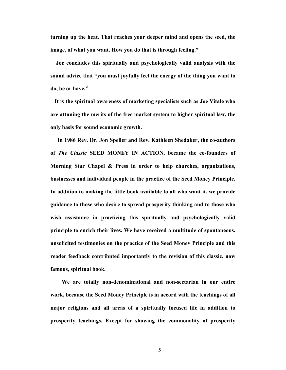**turning up the heat. That reaches your deeper mind and opens the seed, the image, of what you want. How you do that is through feeling."** 

 **Joe concludes this spiritually and psychologically valid analysis with the sound advice that "you must joyfully feel the energy of the thing you want to do, be or have."** 

**It is the spiritual awareness of marketing specialists such as Joe Vitale who are attuning the merits of the free market system to higher spiritual law, the only basis for sound economic growth.** 

**In 1986 Rev. Dr. Jon Speller and Rev. Kathleen Shedaker, the co-authors of** *The Classic* **SEED MONEY IN ACTION, became the co-founders of Morning Star Chapel & Press in order to help churches, organizations, businesses and individual people in the practice of the Seed Money Principle. In addition to making the little book available to all who want it, we provide guidance to those who desire to spread prosperity thinking and to those who wish assistance in practicing this spiritually and psychologically valid principle to enrich their lives. We have received a multitude of spontaneous, unsolicited testimonies on the practice of the Seed Money Principle and this reader feedback contributed importantly to the revision of this classic, now famous, spiritual book.** 

 **We are totally non-denominational and non-sectarian in our entire work, because the Seed Money Principle is in accord with the teachings of all major religions and all areas of a spiritually focused life in addition to prosperity teachings. Except for showing the commonality of prosperity**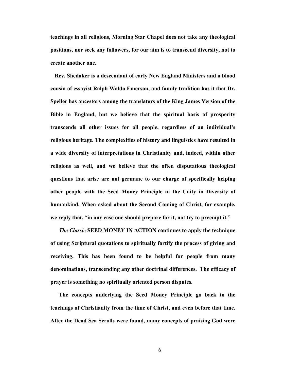**teachings in all religions, Morning Star Chapel does not take any theological positions, nor seek any followers, for our aim is to transcend diversity, not to create another one.** 

**Rev. Shedaker is a descendant of early New England Ministers and a blood cousin of essayist Ralph Waldo Emerson, and family tradition has it that Dr. Speller has ancestors among the translators of the King James Version of the Bible in England, but we believe that the spiritual basis of prosperity transcends all other issues for all people, regardless of an individual's religious heritage. The complexities of history and linguistics have resulted in a wide diversity of interpretations in Christianity and, indeed, within other religions as well, and we believe that the often disputatious theological questions that arise are not germane to our charge of specifically helping other people with the Seed Money Principle in the Unity in Diversity of humankind. When asked about the Second Coming of Christ, for example, we reply that, "in any case one should prepare for it, not try to preempt it."** 

*The Classic* **SEED MONEY IN ACTION continues to apply the technique of using Scriptural quotations to spiritually fortify the process of giving and receiving. This has been found to be helpful for people from many denominations, transcending any other doctrinal differences. The efficacy of prayer is something no spiritually oriented person disputes.** 

 **The concepts underlying the Seed Money Principle go back to the teachings of Christianity from the time of Christ, and even before that time. After the Dead Sea Scrolls were found, many concepts of praising God were**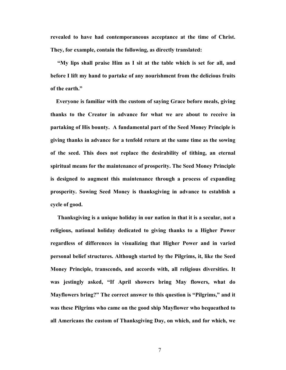**revealed to have had contemporaneous acceptance at the time of Christ. They, for example, contain the following, as directly translated:** 

**"My lips shall praise Him as I sit at the table which is set for all, and before I lift my hand to partake of any nourishment from the delicious fruits of the earth."** 

**Everyone is familiar with the custom of saying Grace before meals, giving thanks to the Creator in advance for what we are about to receive in partaking of His bounty. A fundamental part of the Seed Money Principle is giving thanks in advance for a tenfold return at the same time as the sowing of the seed. This does not replace the desirability of tithing, an eternal spiritual means for the maintenance of prosperity. The Seed Money Principle is designed to augment this maintenance through a process of expanding prosperity. Sowing Seed Money is thanksgiving in advance to establish a cycle of good.** 

**Thanksgiving is a unique holiday in our nation in that it is a secular, not a religious, national holiday dedicated to giving thanks to a Higher Power regardless of differences in visualizing that Higher Power and in varied personal belief structures. Although started by the Pilgrims, it, like the Seed Money Principle, transcends, and accords with, all religious diversities. It was jestingly asked, "If April showers bring May flowers, what do Mayflowers bring?" The correct answer to this question is "Pilgrims," and it was these Pilgrims who came on the good ship Mayflower who bequeathed to all Americans the custom of Thanksgiving Day, on which, and for which, we**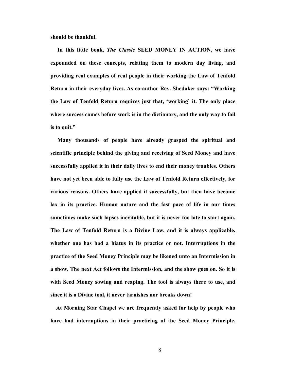**should be thankful.** 

 **In this little book,** *The Classic* **SEED MONEY IN ACTION, we have expounded on these concepts, relating them to modern day living, and providing real examples of real people in their working the Law of Tenfold Return in their everyday lives. As co-author Rev. Shedaker says: "Working the Law of Tenfold Return requires just that, 'working' it. The only place where success comes before work is in the dictionary, and the only way to fail is to quit."** 

**Many thousands of people have already grasped the spiritual and scientific principle behind the giving and receiving of Seed Money and have successfully applied it in their daily lives to end their money troubles. Others have not yet been able to fully use the Law of Tenfold Return effectively, for various reasons. Others have applied it successfully, but then have become lax in its practice. Human nature and the fast pace of life in our times sometimes make such lapses inevitable, but it is never too late to start again. The Law of Tenfold Return is a Divine Law, and it is always applicable, whether one has had a hiatus in its practice or not. Interruptions in the practice of the Seed Money Principle may be likened unto an Intermission in a show. The next Act follows the Intermission, and the show goes on. So it is with Seed Money sowing and reaping. The tool is always there to use, and since it is a Divine tool, it never tarnishes nor breaks down!** 

**At Morning Star Chapel we are frequently asked for help by people who have had interruptions in their practicing of the Seed Money Principle,**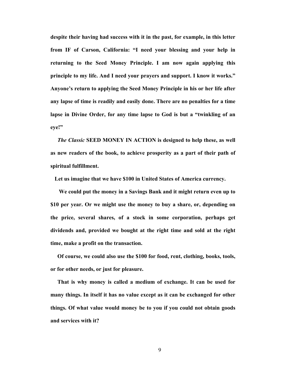**despite their having had success with it in the past, for example, in this letter from IF of Carson, California: "I need your blessing and your help in returning to the Seed Money Principle. I am now again applying this principle to my life. And I need your prayers and support. I know it works." Anyone's return to applying the Seed Money Principle in his or her life after any lapse of time is readily and easily done. There are no penalties for a time lapse in Divine Order, for any time lapse to God is but a "twinkling of an eye!"** 

*The Classic* **SEED MONEY IN ACTION is designed to help these, as well as new readers of the book, to achieve prosperity as a part of their path of spiritual fulfillment.** 

 **Let us imagine that we have \$100 in United States of America currency.** 

 **We could put the money in a Savings Bank and it might return even up to \$10 per year. Or we might use the money to buy a share, or, depending on the price, several shares, of a stock in some corporation, perhaps get dividends and, provided we bought at the right time and sold at the right time, make a profit on the transaction.** 

**Of course, we could also use the \$100 for food, rent, clothing, books, tools, or for other needs, or just for pleasure.** 

 **That is why money is called a medium of exchange. It can be used for many things. In itself it has no value except as it can be exchanged for other things. Of what value would money be to you if you could not obtain goods and services with it?**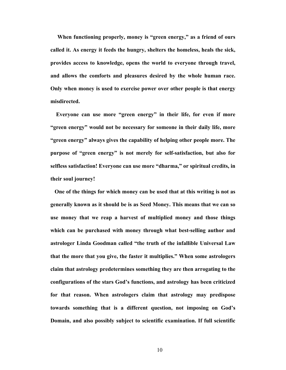**When functioning properly, money is "green energy," as a friend of ours called it. As energy it feeds the hungry, shelters the homeless, heals the sick, provides access to knowledge, opens the world to everyone through travel, and allows the comforts and pleasures desired by the whole human race. Only when money is used to exercise power over other people is that energy misdirected.** 

**Everyone can use more "green energy" in their life, for even if more "green energy" would not be necessary for someone in their daily life, more "green energy" always gives the capability of helping other people more. The purpose of "green energy" is not merely for self-satisfaction, but also for selfless satisfaction! Everyone can use more "dharma," or spiritual credits, in their soul journey!** 

**One of the things for which money can be used that at this writing is not as generally known as it should be is as Seed Money. This means that we can so use money that we reap a harvest of multiplied money and those things which can be purchased with money through what best-selling author and astrologer Linda Goodman called "the truth of the infallible Universal Law that the more that you give, the faster it multiplies." When some astrologers claim that astrology predetermines something they are then arrogating to the configurations of the stars God's functions, and astrology has been criticized for that reason. When astrologers claim that astrology may predispose towards something that is a different question, not imposing on God's Domain, and also possibly subject to scientific examination. If full scientific**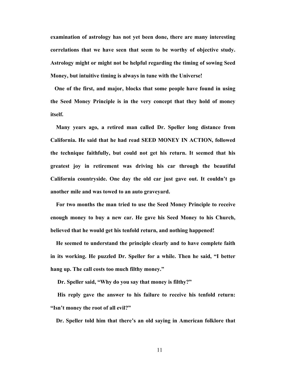**examination of astrology has not yet been done, there are many interesting correlations that we have seen that seem to be worthy of objective study. Astrology might or might not be helpful regarding the timing of sowing Seed Money, but intuitive timing is always in tune with the Universe!** 

**One of the first, and major, blocks that some people have found in using the Seed Money Principle is in the very concept that they hold of money itself.** 

**Many years ago, a retired man called Dr. Speller long distance from California. He said that he had read SEED MONEY IN ACTION, followed the technique faithfully, but could not get his return. It seemed that his greatest joy in retirement was driving his car through the beautiful California countryside. One day the old car just gave out. It couldn't go another mile and was towed to an auto graveyard.** 

**For two months the man tried to use the Seed Money Principle to receive enough money to buy a new car. He gave his Seed Money to his Church, believed that he would get his tenfold return, and nothing happened!** 

**He seemed to understand the principle clearly and to have complete faith in its working. He puzzled Dr. Speller for a while. Then he said, "I better hang up. The call costs too much filthy money."** 

 **Dr. Speller said, "Why do you say that money is filthy?"** 

 **His reply gave the answer to his failure to receive his tenfold return: "Isn't money the root of all evil?"** 

**Dr. Speller told him that there's an old saying in American folklore that**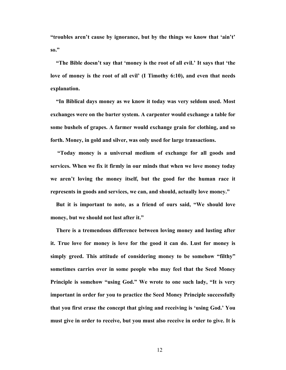**"troubles aren't cause by ignorance, but by the things we know that 'ain't' so."** 

**"The Bible doesn't say that 'money is the root of all evil.' It says that 'the love of money is the root of all evil' (I Timothy 6:10), and even that needs explanation.** 

 **"In Biblical days money as we know it today was very seldom used. Most exchanges were on the barter system. A carpenter would exchange a table for some bushels of grapes. A farmer would exchange grain for clothing, and so forth. Money, in gold and silver, was only used for large transactions.** 

 **"Today money is a universal medium of exchange for all goods and services. When we fix it firmly in our minds that when we love money today we aren't loving the money itself, but the good for the human race it represents in goods and services, we can, and should, actually love money."** 

**But it is important to note, as a friend of ours said, "We should love money, but we should not lust after it."** 

 **There is a tremendous difference between loving money and lusting after it. True love for money is love for the good it can do. Lust for money is simply greed. This attitude of considering money to be somehow "filthy" sometimes carries over in some people who may feel that the Seed Money Principle is somehow "using God." We wrote to one such lady, "It is very important in order for you to practice the Seed Money Principle successfully that you first erase the concept that giving and receiving is 'using God.' You must give in order to receive, but you must also receive in order to give. It is**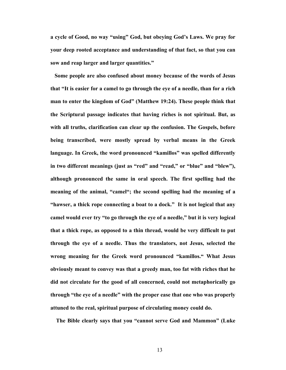**a cycle of Good, no way "using" God, but obeying God's Laws. We pray for your deep rooted acceptance and understanding of that fact, so that you can sow and reap larger and larger quantities."** 

 **Some people are also confused about money because of the words of Jesus that "It is easier for a camel to go through the eye of a needle, than for a rich man to enter the kingdom of God" (Matthew 19:24). These people think that the Scriptural passage indicates that having riches is not spiritual. But, as with all truths, clarification can clear up the confusion. The Gospels, before being transcribed, were mostly spread by verbal means in the Greek language. In Greek, the word pronounced "kamillos" was spelled differently in two different meanings (just as "red" and "read," or "blue" and "blew"), although pronounced the same in oral speech. The first spelling had the meaning of the animal, "camel"; the second spelling had the meaning of a "hawser, a thick rope connecting a boat to a dock." It is not logical that any camel would ever try "to go through the eye of a needle," but it is very logical that a thick rope, as opposed to a thin thread, would be very difficult to put through the eye of a needle. Thus the translators, not Jesus, selected the wrong meaning for the Greek word pronounced "kamillos." What Jesus obviously meant to convey was that a greedy man, too fat with riches that he did not circulate for the good of all concerned, could not metaphorically go through "the eye of a needle" with the proper ease that one who was properly attuned to the real, spiritual purpose of circulating money could do.** 

 **The Bible clearly says that you "cannot serve God and Mammon" (Luke**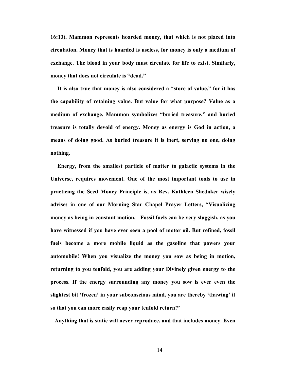**16:13). Mammon represents hoarded money, that which is not placed into circulation. Money that is hoarded is useless, for money is only a medium of exchange. The blood in your body must circulate for life to exist. Similarly, money that does not circulate is "dead."** 

**It is also true that money is also considered a "store of value," for it has the capability of retaining value. But value for what purpose? Value as a medium of exchange. Mammon symbolizes "buried treasure," and buried treasure is totally devoid of energy. Money as energy is God in action, a means of doing good. As buried treasure it is inert, serving no one, doing nothing.** 

**Energy, from the smallest particle of matter to galactic systems in the Universe, requires movement. One of the most important tools to use in practicing the Seed Money Principle is, as Rev. Kathleen Shedaker wisely advises in one of our Morning Star Chapel Prayer Letters, "Visualizing money as being in constant motion. Fossil fuels can be very sluggish, as you have witnessed if you have ever seen a pool of motor oil. But refined, fossil fuels become a more mobile liquid as the gasoline that powers your automobile! When you visualize the money you sow as being in motion, returning to you tenfold, you are adding your Divinely given energy to the process. If the energy surrounding any money you sow is ever even the slightest bit 'frozen' in your subconscious mind, you are thereby 'thawing' it so that you can more easily reap your tenfold return!"** 

**Anything that is static will never reproduce, and that includes money. Even**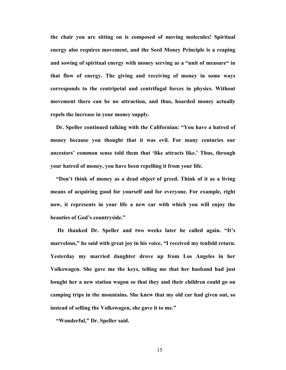**the chair you are sitting on is composed of moving molecules! Spiritual energy also requires movement, and the Seed Money Principle is a reaping and sowing of spiritual energy with money serving as a "unit of measure" in that flow of energy. The giving and receiving of money in some ways corresponds to the centripetal and centrifugal forces in physics. Without movement there can be no attraction, and thus, hoarded money actually repels the increase in your money supply.** 

 **Dr. Speller continued talking with the Californian: "You have a hatred of money because you thought that it was evil. For many centuries our ancestors' common sense told them that 'like attracts like.' Thus, through your hatred of money, you have been repelling it from your life.** 

 **"Don't think of money as a dead object of greed. Think of it as a living means of acquiring good for yourself and for everyone. For example, right now, it represents in your life a new car with which you will enjoy the beauties of God's countryside."** 

 **He thanked Dr. Speller and two weeks later he called again. "It's marvelous," he said with great joy in his voice, "I received my tenfold return. Yesterday my married daughter drove up from Los Angeles in her Volkswagen. She gave me the keys, telling me that her husband had just bought her a new station wagon so that they and their children could go on camping trips in the mountains. She knew that my old car had given out, so instead of selling the Volkswagen, she gave it to me."** 

 **"Wonderful," Dr. Speller said.**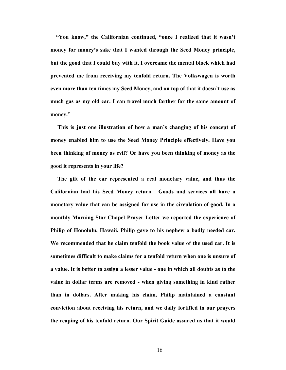**"You know," the Californian continued, "once I realized that it wasn't money for money's sake that I wanted through the Seed Money principle, but the good that I could buy with it, I overcame the mental block which had prevented me from receiving my tenfold return. The Volkswagen is worth even more than ten times my Seed Money, and on top of that it doesn't use as much gas as my old car. I can travel much farther for the same amount of money."** 

 **This is just one illustration of how a man's changing of his concept of money enabled him to use the Seed Money Principle effectively. Have you been thinking of money as evil? Or have you been thinking of money as the good it represents in your life?** 

**The gift of the car represented a real monetary value, and thus the Californian had his Seed Money return. Goods and services all have a monetary value that can be assigned for use in the circulation of good. In a monthly Morning Star Chapel Prayer Letter we reported the experience of Philip of Honolulu, Hawaii. Philip gave to his nephew a badly needed car. We recommended that he claim tenfold the book value of the used car. It is sometimes difficult to make claims for a tenfold return when one is unsure of a value. It is better to assign a lesser value - one in which all doubts as to the value in dollar terms are removed - when giving something in kind rather than in dollars. After making his claim, Philip maintained a constant conviction about receiving his return, and we daily fortified in our prayers the reaping of his tenfold return. Our Spirit Guide assured us that it would**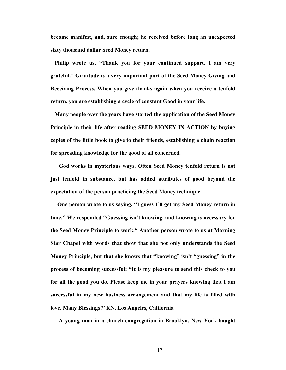**become manifest, and, sure enough; he received before long an unexpected sixty thousand dollar Seed Money return.** 

**Philip wrote us, "Thank you for your continued support. I am very grateful." Gratitude is a very important part of the Seed Money Giving and Receiving Process. When you give thanks again when you receive a tenfold return, you are establishing a cycle of constant Good in your life.** 

**Many people over the years have started the application of the Seed Money Principle in their life after reading SEED MONEY IN ACTION by buying copies of the little book to give to their friends, establishing a chain reaction for spreading knowledge for the good of all concerned.** 

 **God works in mysterious ways. Often Seed Money tenfold return is not just tenfold in substance, but has added attributes of good beyond the expectation of the person practicing the Seed Money technique.** 

**One person wrote to us saying, "I guess I'll get my Seed Money return in time." We responded "Guessing isn't knowing, and knowing is necessary for the Seed Money Principle to work." Another person wrote to us at Morning Star Chapel with words that show that she not only understands the Seed Money Principle, but that she knows that "knowing" isn't "guessing" in the process of becoming successful: "It is my pleasure to send this check to you for all the good you do. Please keep me in your prayers knowing that I am successful in my new business arrangement and that my life is filled with love. Many Blessings!" KN, Los Angeles, California** 

 **A young man in a church congregation in Brooklyn, New York bought**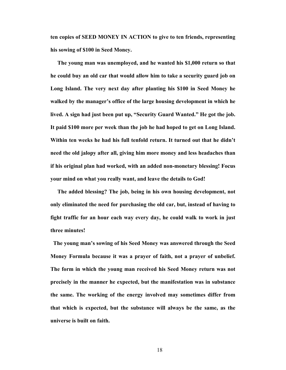**ten copies of SEED MONEY IN ACTION to give to ten friends, representing his sowing of \$100 in Seed Money.** 

**The young man was unemployed, and he wanted his \$1,000 return so that he could buy an old car that would allow him to take a security guard job on Long Island. The very next day after planting his \$100 in Seed Money he walked by the manager's office of the large housing development in which he lived. A sign had just been put up, "Security Guard Wanted." He got the job. It paid \$100 more per week than the job he had hoped to get on Long Island. Within ten weeks he had his full tenfold return. It turned out that he didn't need the old jalopy after all, giving him more money and less headaches than if his original plan had worked, with an added non-monetary blessing! Focus your mind on what you really want, and leave the details to God!** 

**The added blessing? The job, being in his own housing development, not only eliminated the need for purchasing the old car, but, instead of having to fight traffic for an hour each way every day, he could walk to work in just three minutes!** 

**The young man's sowing of his Seed Money was answered through the Seed Money Formula because it was a prayer of faith, not a prayer of unbelief. The form in which the young man received his Seed Money return was not precisely in the manner he expected, but the manifestation was in substance the same. The working of the energy involved may sometimes differ from that which is expected, but the substance will always be the same, as the universe is built on faith.**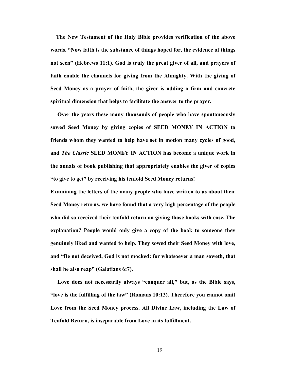**The New Testament of the Holy Bible provides verification of the above words. "Now faith is the substance of things hoped for, the evidence of things not seen" (Hebrews 11:1). God is truly the great giver of all, and prayers of faith enable the channels for giving from the Almighty. With the giving of Seed Money as a prayer of faith, the giver is adding a firm and concrete spiritual dimension that helps to facilitate the answer to the prayer.** 

 **Over the years these many thousands of people who have spontaneously sowed Seed Money by giving copies of SEED MONEY IN ACTION to friends whom they wanted to help have set in motion many cycles of good, and** *The Classic* **SEED MONEY IN ACTION has become a unique work in the annals of book publishing that appropriately enables the giver of copies "to give to get" by receiving his tenfold Seed Money returns!** 

**Examining the letters of the many people who have written to us about their Seed Money returns, we have found that a very high percentage of the people who did so received their tenfold return on giving those books with ease. The explanation? People would only give a copy of the book to someone they genuinely liked and wanted to help. They sowed their Seed Money with love, and "Be not deceived, God is not mocked: for whatsoever a man soweth, that shall he also reap" (Galatians 6:7).** 

 **Love does not necessarily always "conquer all," but, as the Bible says, "love is the fulfilling of the law" (Romans 10:13). Therefore you cannot omit Love from the Seed Money process. All Divine Law, including the Law of Tenfold Return, is inseparable from Love in its fulfillment.**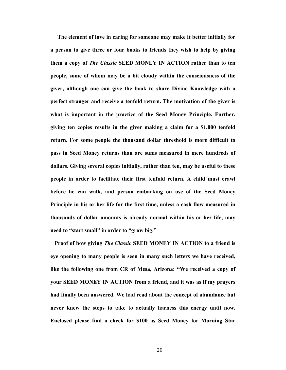**The element of love in caring for someone may make it better initially for a person to give three or four books to friends they wish to help by giving them a copy of** *The Classic* **SEED MONEY IN ACTION rather than to ten people, some of whom may be a bit cloudy within the consciousness of the giver, although one can give the book to share Divine Knowledge with a perfect stranger and receive a tenfold return. The motivation of the giver is what is important in the practice of the Seed Money Principle. Further, giving ten copies results in the giver making a claim for a \$1,000 tenfold return. For some people the thousand dollar threshold is more difficult to pass in Seed Money returns than are sums measured in mere hundreds of dollars. Giving several copies initially, rather than ten, may be useful to these people in order to facilitate their first tenfold return. A child must crawl before he can walk, and person embarking on use of the Seed Money Principle in his or her life for the first time, unless a cash flow measured in thousands of dollar amounts is already normal within his or her life, may need to "start small" in order to "grow big."** 

 **Proof of how giving** *The Classic* **SEED MONEY IN ACTION to a friend is eye opening to many people is seen in many such letters we have received, like the following one from CR of Mesa, Arizona: "We received a copy of your SEED MONEY IN ACTION from a friend, and it was as if my prayers had finally been answered. We had read about the concept of abundance but never knew the steps to take to actually harness this energy until now. Enclosed please find a check for \$100 as Seed Money for Morning Star**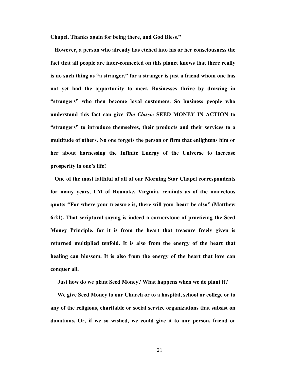**Chapel. Thanks again for being there, and God Bless."** 

**However, a person who already has etched into his or her consciousness the fact that all people are inter-connected on this planet knows that there really is no such thing as "a stranger," for a stranger is just a friend whom one has not yet had the opportunity to meet. Businesses thrive by drawing in "strangers" who then become loyal customers. So business people who understand this fact can give** *The Classic* **SEED MONEY IN ACTION to "strangers" to introduce themselves, their products and their services to a multitude of others. No one forgets the person or firm that enlightens him or her about harnessing the Infinite Energy of the Universe to increase prosperity in one's life!** 

**One of the most faithful of all of our Morning Star Chapel correspondents for many years, LM of Roanoke, Virginia, reminds us of the marvelous quote: "For where your treasure is, there will your heart be also" (Matthew 6:21). That scriptural saying is indeed a cornerstone of practicing the Seed Money Principle, for it is from the heart that treasure freely given is returned multiplied tenfold. It is also from the energy of the heart that healing can blossom. It is also from the energy of the heart that love can conquer all.** 

 **Just how do we plant Seed Money? What happens when we do plant it?** 

 **We give Seed Money to our Church or to a hospital, school or college or to any of the religious, charitable or social service organizations that subsist on donations. Or, if we so wished, we could give it to any person, friend or**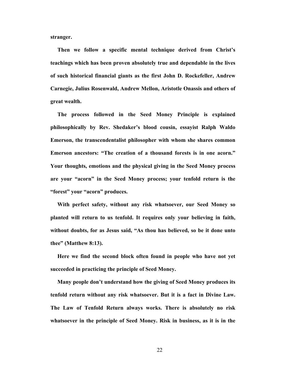**stranger.** 

 **Then we follow a specific mental technique derived from Christ's teachings which has been proven absolutely true and dependable in the lives of such historical financial giants as the first John D. Rockefeller, Andrew Carnegie, Julius Rosenwald, Andrew Mellon, Aristotle Onassis and others of great wealth.** 

**The process followed in the Seed Money Principle is explained philosophically by Rev. Shedaker's blood cousin, essayist Ralph Waldo Emerson, the transcendentalist philosopher with whom she shares common Emerson ancestors: "The creation of a thousand forests is in one acorn." Your thoughts, emotions and the physical giving in the Seed Money process are your "acorn" in the Seed Money process; your tenfold return is the "forest" your "acorn" produces.** 

**With perfect safety, without any risk whatsoever, our Seed Money so planted will return to us tenfold. It requires only your believing in faith, without doubts, for as Jesus said, "As thou has believed, so be it done unto thee" (Matthew 8:13).** 

**Here we find the second block often found in people who have not yet succeeded in practicing the principle of Seed Money.** 

 **Many people don't understand how the giving of Seed Money produces its tenfold return without any risk whatsoever. But it is a fact in Divine Law. The Law of Tenfold Return always works. There is absolutely no risk whatsoever in the principle of Seed Money. Risk in business, as it is in the**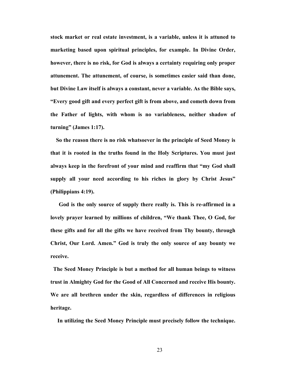**stock market or real estate investment, is a variable, unless it is attuned to marketing based upon spiritual principles, for example. In Divine Order, however, there is no risk, for God is always a certainty requiring only proper attunement. The attunement, of course, is sometimes easier said than done, but Divine Law itself is always a constant, never a variable. As the Bible says, "Every good gift and every perfect gift is from above, and cometh down from the Father of lights, with whom is no variableness, neither shadow of turning" (James 1:17).** 

**So the reason there is no risk whatsoever in the principle of Seed Money is that it is rooted in the truths found in the Holy Scriptures. You must just always keep in the forefront of your mind and reaffirm that "my God shall supply all your need according to his riches in glory by Christ Jesus" (Philippians 4:19).** 

 **God is the only source of supply there really is. This is re-affirmed in a lovely prayer learned by millions of children, "We thank Thee, O God, for these gifts and for all the gifts we have received from Thy bounty, through Christ, Our Lord. Amen." God is truly the only source of any bounty we receive.** 

**The Seed Money Principle is but a method for all human beings to witness trust in Almighty God for the Good of All Concerned and receive His bounty. We are all brethren under the skin, regardless of differences in religious heritage.** 

 **In utilizing the Seed Money Principle must precisely follow the technique.**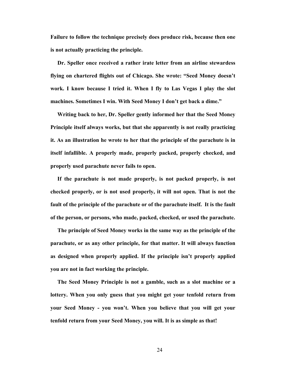**Failure to follow the technique precisely does produce risk, because then one is not actually practicing the principle.** 

**Dr. Speller once received a rather irate letter from an airline stewardess flying on chartered flights out of Chicago. She wrote: "Seed Money doesn't work. I know because I tried it. When I fly to Las Vegas I play the slot machines. Sometimes I win. With Seed Money I don't get back a dime."** 

 **Writing back to her, Dr. Speller gently informed her that the Seed Money Principle itself always works, but that she apparently is not really practicing it. As an illustration he wrote to her that the principle of the parachute is in itself infallible. A properly made, properly packed, properly checked, and properly used parachute never fails to open.** 

 **If the parachute is not made properly, is not packed properly, is not checked properly, or is not used properly, it will not open. That is not the fault of the principle of the parachute or of the parachute itself. It is the fault of the person, or persons, who made, packed, checked, or used the parachute.** 

 **The principle of Seed Money works in the same way as the principle of the parachute, or as any other principle, for that matter. It will always function as designed when properly applied. If the principle isn't properly applied you are not in fact working the principle.** 

 **The Seed Money Principle is not a gamble, such as a slot machine or a lottery. When you only guess that you might get your tenfold return from your Seed Money - you won't. When you believe that you will get your tenfold return from your Seed Money, you will. It is as simple as that!**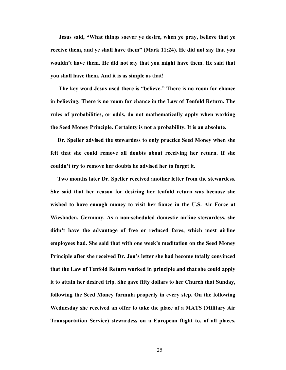**Jesus said, "What things soever ye desire, when ye pray, believe that ye receive them, and ye shall have them" (Mark 11:24). He did not say that you wouldn't have them. He did not say that you might have them. He said that you shall have them. And it is as simple as that!** 

 **The key word Jesus used there is "believe." There is no room for chance in believing. There is no room for chance in the Law of Tenfold Return. The rules of probabilities, or odds, do not mathematically apply when working the Seed Money Principle. Certainty is not a probability. It is an absolute.** 

 **Dr. Speller advised the stewardess to only practice Seed Money when she felt that she could remove all doubts about receiving her return. If she couldn't try to remove her doubts he advised her to forget it.** 

 **Two months later Dr. Speller received another letter from the stewardess. She said that her reason for desiring her tenfold return was because she wished to have enough money to visit her fiance in the U.S. Air Force at Wiesbaden, Germany. As a non-scheduled domestic airline stewardess, she didn't have the advantage of free or reduced fares, which most airline employees had. She said that with one week's meditation on the Seed Money Principle after she received Dr. Jon's letter she had become totally convinced that the Law of Tenfold Return worked in principle and that she could apply it to attain her desired trip. She gave fifty dollars to her Church that Sunday, following the Seed Money formula properly in every step. On the following Wednesday she received an offer to take the place of a MATS (Military Air Transportation Service) stewardess on a European flight to, of all places,**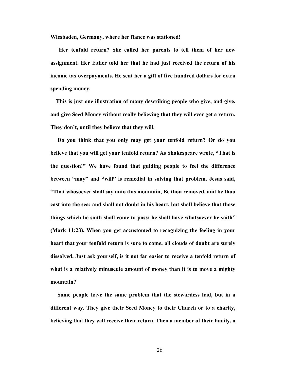**Wiesbaden, Germany, where her fiance was stationed!** 

**Her tenfold return? She called her parents to tell them of her new assignment. Her father told her that he had just received the return of his income tax overpayments. He sent her a gift of five hundred dollars for extra spending money.** 

**This is just one illustration of many describing people who give, and give, and give Seed Money without really believing that they will ever get a return. They don't, until they believe that they will.** 

 **Do you think that you only may get your tenfold return? Or do you believe that you will get your tenfold return? As Shakespeare wrote, "That is the question!" We have found that guiding people to feel the difference between "may" and "will" is remedial in solving that problem. Jesus said, "That whosoever shall say unto this mountain, Be thou removed, and be thou cast into the sea; and shall not doubt in his heart, but shall believe that those things which he saith shall come to pass; he shall have whatsoever he saith" (Mark 11:23). When you get accustomed to recognizing the feeling in your heart that your tenfold return is sure to come, all clouds of doubt are surely dissolved. Just ask yourself, is it not far easier to receive a tenfold return of what is a relatively minuscule amount of money than it is to move a mighty mountain?** 

 **Some people have the same problem that the stewardess had, but in a different way. They give their Seed Money to their Church or to a charity, believing that they will receive their return. Then a member of their family, a**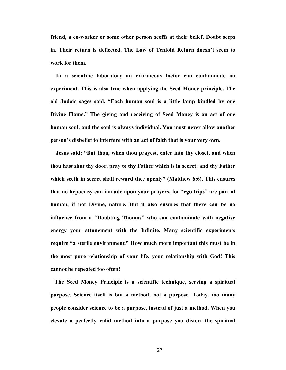**friend, a co-worker or some other person scoffs at their belief. Doubt seeps in. Their return is deflected. The Law of Tenfold Return doesn't seem to work for them.** 

**In a scientific laboratory an extraneous factor can contaminate an experiment. This is also true when applying the Seed Money principle. The old Judaic sages said, "Each human soul is a little lamp kindled by one Divine Flame." The giving and receiving of Seed Money is an act of one human soul, and the soul is always individual. You must never allow another person's disbelief to interfere with an act of faith that is your very own.** 

 **Jesus said: "But thou, when thou prayest, enter into thy closet, and when thou hast shut thy door, pray to thy Father which is in secret; and thy Father which seeth in secret shall reward thee openly" (Matthew 6:6). This ensures that no hypocrisy can intrude upon your prayers, for "ego trips" are part of human, if not Divine, nature. But it also ensures that there can be no influence from a "Doubting Thomas" who can contaminate with negative energy your attunement with the Infinite. Many scientific experiments require "a sterile environment." How much more important this must be in the most pure relationship of your life, your relationship with God! This cannot be repeated too often!** 

**The Seed Money Principle is a scientific technique, serving a spiritual purpose. Science itself is but a method, not a purpose. Today, too many people consider science to be a purpose, instead of just a method. When you elevate a perfectly valid method into a purpose you distort the spiritual**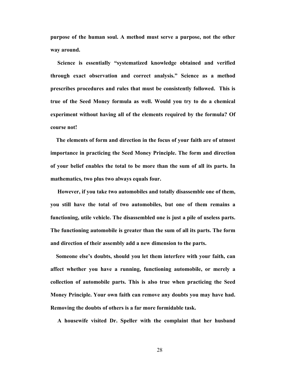**purpose of the human soul. A method must serve a purpose, not the other way around.** 

 **Science is essentially "systematized knowledge obtained and verified through exact observation and correct analysis." Science as a method prescribes procedures and rules that must be consistently followed. This is true of the Seed Money formula as well. Would you try to do a chemical experiment without having all of the elements required by the formula? Of course not!** 

 **The elements of form and direction in the focus of your faith are of utmost importance in practicing the Seed Money Principle. The form and direction of your belief enables the total to be more than the sum of all its parts. In mathematics, two plus two always equals four.** 

 **However, if you take two automobiles and totally disassemble one of them, you still have the total of two automobiles, but one of them remains a functioning, utile vehicle. The disassembled one is just a pile of useless parts. The functioning automobile is greater than the sum of all its parts. The form and direction of their assembly add a new dimension to the parts.** 

 **Someone else's doubts, should you let them interfere with your faith, can affect whether you have a running, functioning automobile, or merely a collection of automobile parts. This is also true when practicing the Seed Money Principle. Your own faith can remove any doubts you may have had. Removing the doubts of others is a far more formidable task.** 

 **A housewife visited Dr. Speller with the complaint that her husband**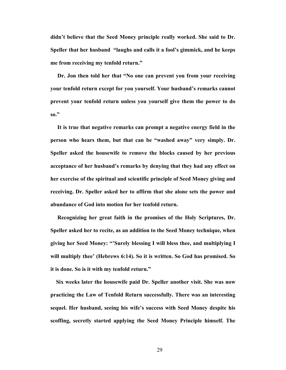**didn't believe that the Seed Money principle really worked. She said to Dr. Speller that her husband "laughs and calls it a fool's gimmick, and he keeps me from receiving my tenfold return."** 

**Dr. Jon then told her that "No one can prevent you from your receiving your tenfold return except for you yourself. Your husband's remarks cannot prevent your tenfold return unless you yourself give them the power to do so."** 

 **It is true that negative remarks can prompt a negative energy field in the person who hears them, but that can be "washed away" very simply. Dr. Speller asked the housewife to remove the blocks caused by her previous acceptance of her husband's remarks by denying that they had any effect on her exercise of the spiritual and scientific principle of Seed Money giving and receiving. Dr. Speller asked her to affirm that she alone sets the power and abundance of God into motion for her tenfold return.** 

 **Recognizing her great faith in the promises of the Holy Scriptures, Dr. Speller asked her to recite, as an addition to the Seed Money technique, when giving her Seed Money: "'Surely blessing I will bless thee, and multiplying I will multiply thee' (Hebrews 6:14). So it is written. So God has promised. So it is done. So is it with my tenfold return."** 

**Six weeks later the housewife paid Dr. Speller another visit. She was now practicing the Law of Tenfold Return successfully. There was an interesting sequel. Her husband, seeing his wife's success with Seed Money despite his scoffing, secretly started applying the Seed Money Principle himself. The**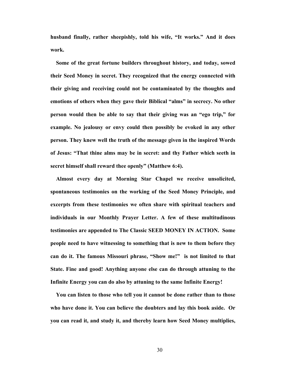**husband finally, rather sheepishly, told his wife, "It works." And it does work.**

**Some of the great fortune builders throughout history, and today, sowed their Seed Money in secret. They recognized that the energy connected with their giving and receiving could not be contaminated by the thoughts and emotions of others when they gave their Biblical "alms" in secrecy. No other person would then be able to say that their giving was an "ego trip," for example. No jealousy or envy could then possibly be evoked in any other person. They knew well the truth of the message given in the inspired Words of Jesus: "That thine alms may be in secret: and thy Father which seeth in secret himself shall reward thee openly" (Matthew 6:4).** 

 **Almost every day at Morning Star Chapel we receive unsolicited, spontaneous testimonies on the working of the Seed Money Principle, and excerpts from these testimonies we often share with spiritual teachers and individuals in our Monthly Prayer Letter. A few of these multitudinous testimonies are appended to The Classic SEED MONEY IN ACTION. Some people need to have witnessing to something that is new to them before they can do it. The famous Missouri phrase, "Show me!" is not limited to that State. Fine and good! Anything anyone else can do through attuning to the Infinite Energy you can do also by attuning to the same Infinite Energy!** 

**You can listen to those who tell you it cannot be done rather than to those who have done it. You can believe the doubters and lay this book aside. Or you can read it, and study it, and thereby learn how Seed Money multiplies,**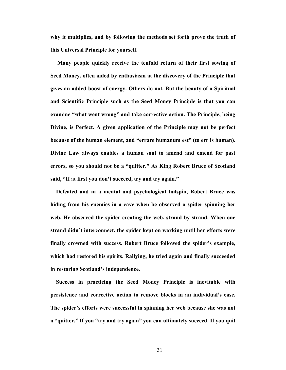**why it multiplies, and by following the methods set forth prove the truth of this Universal Principle for yourself.** 

 **Many people quickly receive the tenfold return of their first sowing of Seed Money, often aided by enthusiasm at the discovery of the Principle that gives an added boost of energy. Others do not. But the beauty of a Spiritual and Scientific Principle such as the Seed Money Principle is that you can examine "what went wrong" and take corrective action. The Principle, being Divine, is Perfect. A given application of the Principle may not be perfect because of the human element, and "errare humanum est" (to err is human). Divine Law always enables a human soul to amend and emend for past errors, so you should not be a "quitter." As King Robert Bruce of Scotland said, "If at first you don't succeed, try and try again."** 

**Defeated and in a mental and psychological tailspin, Robert Bruce was hiding from his enemies in a cave when he observed a spider spinning her web. He observed the spider creating the web, strand by strand. When one strand didn't interconnect, the spider kept on working until her efforts were finally crowned with success. Robert Bruce followed the spider's example, which had restored his spirits. Rallying, he tried again and finally succeeded in restoring Scotland's independence.** 

 **Success in practicing the Seed Money Principle is inevitable with persistence and corrective action to remove blocks in an individual's case. The spider's efforts were successful in spinning her web because she was not a "quitter." If you "try and try again" you can ultimately succeed. If you quit**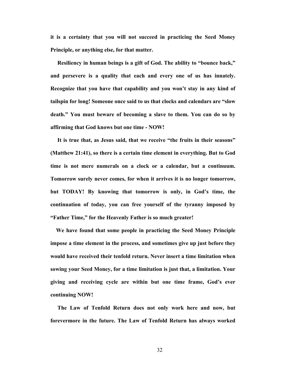**it is a certainty that you will not succeed in practicing the Seed Money Principle, or anything else, for that matter.** 

 **Resiliency in human beings is a gift of God. The ability to "bounce back," and persevere is a quality that each and every one of us has innately. Recognize that you have that capability and you won't stay in any kind of tailspin for long! Someone once said to us that clocks and calendars are "slow death." You must beware of becoming a slave to them. You can do so by affirming that God knows but one time - NOW!** 

**It is true that, as Jesus said, that we receive "the fruits in their seasons" (Matthew 21:41), so there is a certain time element in everything. But to God time is not mere numerals on a clock or a calendar, but a continuum. Tomorrow surely never comes, for when it arrives it is no longer tomorrow, but TODAY! By knowing that tomorrow is only, in God's time, the continuation of today, you can free yourself of the tyranny imposed by "Father Time," for the Heavenly Father is so much greater!** 

 **We have found that some people in practicing the Seed Money Principle impose a time element in the process, and sometimes give up just before they would have received their tenfold return. Never insert a time limitation when sowing your Seed Money, for a time limitation is just that, a limitation. Your giving and receiving cycle are within but one time frame, God's ever continuing NOW!** 

 **The Law of Tenfold Return does not only work here and now, but forevermore in the future. The Law of Tenfold Return has always worked**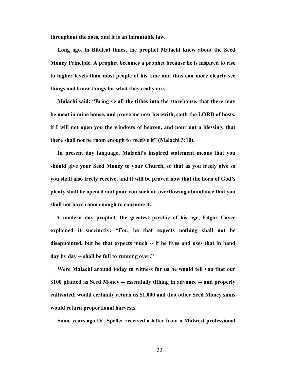**throughout the ages, and it is an immutable law.**

**Long ago, in Biblical times, the prophet Malachi knew about the Seed Money Principle. A prophet becomes a prophet because he is inspired to rise to higher levels than most people of his time and thus can more clearly see things and know things for what they really are.** 

**Malachi said: "Bring ye all the tithes into the storehouse, that there may be meat in mine house, and prove me now herewith, saith the LORD of hosts, if I will not open you the windows of heaven, and pour out a blessing, that there shall not be room enough to receive it" (Malachi 3:10).** 

 **In present day language, Malachi's inspired statement means that you should give your Seed Money to your Church, so that as you freely give so you shall also freely receive, and it will be proved now that the horn of God's plenty shall be opened and pour you such an overflowing abundance that you shall not have room enough to consume it.** 

**A modern day prophet, the greatest psychic of his age, Edgar Cayce explained it succinctly: "For, he that expects nothing shall not be disappointed, but he that expects much -- if he lives and uses that in hand day by day -- shall be full to running over."** 

 **Were Malachi around today to witness for us he would tell you that our \$100 planted as Seed Money -- essentially tithing in advance -- and properly cultivated, would certainly return us \$1,000 and that other Seed Money sums would return proportional harvests.** 

 **Some years ago Dr. Speller received a letter from a Midwest professional**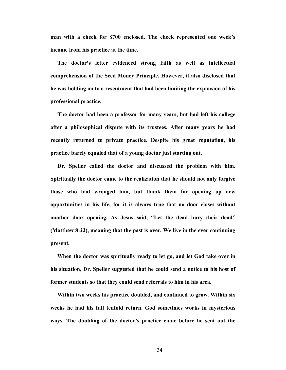**man with a check for \$700 enclosed. The check represented one week's income from his practice at the time.** 

**The doctor's letter evidenced strong faith as well as intellectual comprehension of the Seed Money Principle. However, it also disclosed that he was holding on to a resentment that had been limiting the expansion of his professional practice.** 

**The doctor had been a professor for many years, but had left his college after a philosophical dispute with its trustees. After many years he had recently returned to private practice. Despite his great reputation, his practice barely equaled that of a young doctor just starting out.** 

 **Dr. Speller called the doctor and discussed the problem with him. Spiritually the doctor came to the realization that he should not only forgive those who had wronged him, but thank them for opening up new opportunities in his life, for it is always true that no door closes without another door opening. As Jesus said, "Let the dead bury their dead" (Matthew 8:22), meaning that the past is over. We live in the ever continuing present.** 

**When the doctor was spiritually ready to let go, and let God take over in his situation, Dr. Speller suggested that he could send a notice to his host of former students so that they could send referrals to him in his area.** 

 **Within two weeks his practice doubled, and continued to grow. Within six weeks he had his full tenfold return. God sometimes works in mysterious ways. The doubling of the doctor's practice came before he sent out the**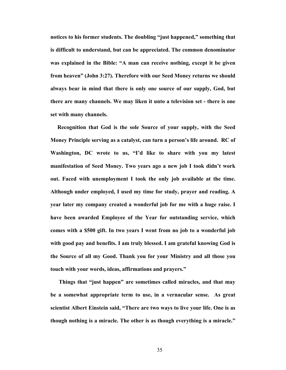**notices to his former students. The doubling "just happened," something that is difficult to understand, but can be appreciated. The common denominator was explained in the Bible: "A man can receive nothing, except it be given from heaven" (John 3:27). Therefore with our Seed Money returns we should always bear in mind that there is only one source of our supply, God, but there are many channels. We may liken it unto a television set - there is one set with many channels.** 

 **Recognition that God is the sole Source of your supply, with the Seed Money Principle serving as a catalyst, can turn a person's life around. RC of Washington, DC wrote to us, "I'd like to share with you my latest manifestation of Seed Money. Two years ago a new job I took didn't work out. Faced with unemployment I took the only job available at the time. Although under employed, I used my time for study, prayer and reading. A year later my company created a wonderful job for me with a huge raise. I have been awarded Employee of the Year for outstanding service, which comes with a \$500 gift. In two years I went from no job to a wonderful job with good pay and benefits. I am truly blessed. I am grateful knowing God is the Source of all my Good. Thank you for your Ministry and all those you touch with your words, ideas, affirmations and prayers."** 

 **Things that "just happen" are sometimes called miracles, and that may be a somewhat appropriate term to use, in a vernacular sense. As great scientist Albert Einstein said, "There are two ways to live your life. One is as though nothing is a miracle. The other is as though everything is a miracle."**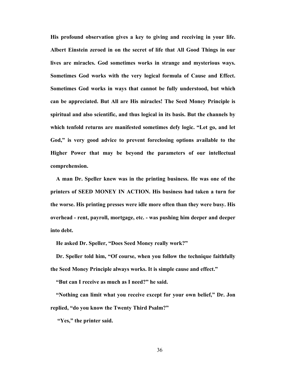**His profound observation gives a key to giving and receiving in your life. Albert Einstein zeroed in on the secret of life that All Good Things in our lives are miracles. God sometimes works in strange and mysterious ways. Sometimes God works with the very logical formula of Cause and Effect. Sometimes God works in ways that cannot be fully understood, but which can be appreciated. But All are His miracles! The Seed Money Principle is spiritual and also scientific, and thus logical in its basis. But the channels by which tenfold returns are manifested sometimes defy logic. "Let go, and let God," is very good advice to prevent foreclosing options available to the Higher Power that may be beyond the parameters of our intellectual comprehension.** 

**A man Dr. Speller knew was in the printing business. He was one of the printers of SEED MONEY IN ACTION. His business had taken a turn for the worse. His printing presses were idle more often than they were busy. His overhead - rent, payroll, mortgage, etc. - was pushing him deeper and deeper into debt.** 

 **He asked Dr. Speller, "Does Seed Money really work?"** 

**Dr. Speller told him, "Of course, when you follow the technique faithfully the Seed Money Principle always works. It is simple cause and effect."** 

 **"But can I receive as much as I need?" he said.** 

**"Nothing can limit what you receive except for your own belief," Dr. Jon replied, "do you know the Twenty Third Psalm?"** 

 **"Yes," the printer said.**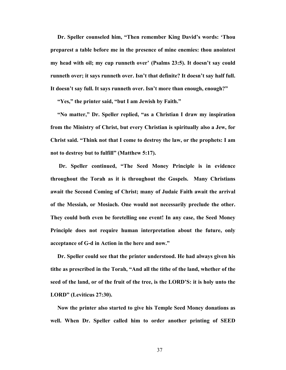**Dr. Speller counseled him, "Then remember King David's words: 'Thou preparest a table before me in the presence of mine enemies: thou anointest my head with oil; my cup runneth over' (Psalms 23:5). It doesn't say could runneth over; it says runneth over. Isn't that definite? It doesn't say half full. It doesn't say full. It says runneth over. Isn't more than enough, enough?"** 

 **"Yes," the printer said, "but I am Jewish by Faith."** 

 **"No matter," Dr. Speller replied, "as a Christian I draw my inspiration from the Ministry of Christ, but every Christian is spiritually also a Jew, for Christ said. "Think not that I come to destroy the law, or the prophets: I am not to destroy but to fulfill" (Matthew 5:17).** 

 **Dr. Speller continued, "The Seed Money Principle is in evidence throughout the Torah as it is throughout the Gospels. Many Christians await the Second Coming of Christ; many of Judaic Faith await the arrival of the Messiah, or Mosiach. One would not necessarily preclude the other. They could both even be foretelling one event! In any case, the Seed Money Principle does not require human interpretation about the future, only acceptance of G-d in Action in the here and now."** 

**Dr. Speller could see that the printer understood. He had always given his tithe as prescribed in the Torah, "And all the tithe of the land, whether of the seed of the land, or of the fruit of the tree, is the LORD'S: it is holy unto the LORD" (Leviticus 27:30).** 

 **Now the printer also started to give his Temple Seed Money donations as well. When Dr. Speller called him to order another printing of SEED**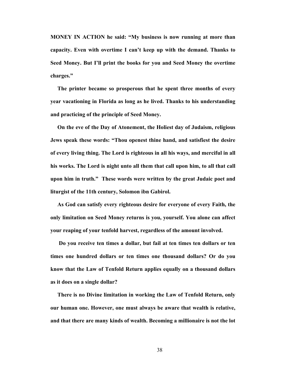**MONEY IN ACTION he said: "My business is now running at more than capacity. Even with overtime I can't keep up with the demand. Thanks to Seed Money. But I'll print the books for you and Seed Money the overtime charges."** 

 **The printer became so prosperous that he spent three months of every year vacationing in Florida as long as he lived. Thanks to his understanding and practicing of the principle of Seed Money.** 

 **On the eve of the Day of Atonement, the Holiest day of Judaism, religious Jews speak these words: "Thou openest thine hand, and satisfiest the desire of every living thing. The Lord is righteous in all his ways, and merciful in all his works. The Lord is night unto all them that call upon him, to all that call upon him in truth." These words were written by the great Judaic poet and liturgist of the 11th century, Solomon ibn Gabirol.** 

 **As God can satisfy every righteous desire for everyone of every Faith, the only limitation on Seed Money returns is you, yourself. You alone can affect your reaping of your tenfold harvest, regardless of the amount involved.** 

 **Do you receive ten times a dollar, but fail at ten times ten dollars or ten times one hundred dollars or ten times one thousand dollars? Or do you know that the Law of Tenfold Return applies equally on a thousand dollars as it does on a single dollar?** 

 **There is no Divine limitation in working the Law of Tenfold Return, only our human one. However, one must always be aware that wealth is relative, and that there are many kinds of wealth. Becoming a millionaire is not the lot**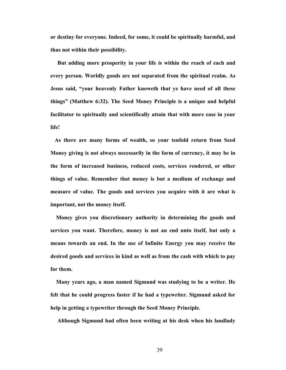**or destiny for everyone. Indeed, for some, it could be spiritually harmful, and thus not within their possibility.** 

 **But adding more prosperity in your life is within the reach of each and every person. Worldly goods are not separated from the spiritual realm. As Jesus said, "your heavenly Father knoweth that ye have need of all these things" (Matthew 6:32). The Seed Money Principle is a unique and helpful facilitator to spiritually and scientifically attain that with more ease in your life!** 

**As there are many forms of wealth, so your tenfold return from Seed Money giving is not always necessarily in the form of currency, it may be in the form of increased business, reduced costs, services rendered, or other things of value. Remember that money is but a medium of exchange and measure of value. The goods and services you acquire with it are what is important, not the money itself.** 

 **Money gives you discretionary authority in determining the goods and services you want. Therefore, money is not an end unto itself, but only a means towards an end. In the use of Infinite Energy you may receive the desired goods and services in kind as well as from the cash with which to pay for them.** 

**Many years ago, a man named Sigmund was studying to be a writer. He felt that he could progress faster if he had a typewriter. Sigmund asked for help in getting a typewriter through the Seed Money Principle.** 

 **Although Sigmund had often been writing at his desk when his landlady**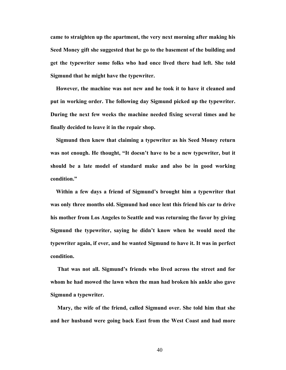**came to straighten up the apartment, the very next morning after making his Seed Money gift she suggested that he go to the basement of the building and get the typewriter some folks who had once lived there had left. She told Sigmund that he might have the typewriter.** 

**However, the machine was not new and he took it to have it cleaned and put in working order. The following day Sigmund picked up the typewriter. During the next few weeks the machine needed fixing several times and he finally decided to leave it in the repair shop.** 

 **Sigmund then knew that claiming a typewriter as his Seed Money return was not enough. He thought, "It doesn't have to be a new typewriter, but it should be a late model of standard make and also be in good working condition."** 

**Within a few days a friend of Sigmund's brought him a typewriter that was only three months old. Sigmund had once lent this friend his car to drive his mother from Los Angeles to Seattle and was returning the favor by giving Sigmund the typewriter, saying he didn't know when he would need the typewriter again, if ever, and he wanted Sigmund to have it. It was in perfect condition.** 

 **That was not all. Sigmund's friends who lived across the street and for whom he had mowed the lawn when the man had broken his ankle also gave Sigmund a typewriter.** 

 **Mary, the wife of the friend, called Sigmund over. She told him that she and her husband were going back East from the West Coast and had more**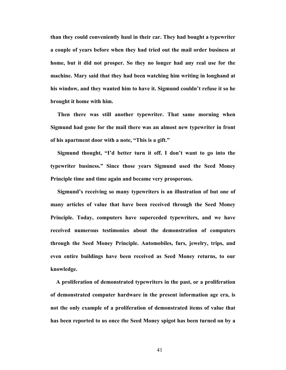**than they could conveniently haul in their car. They had bought a typewriter a couple of years before when they had tried out the mail order business at home, but it did not prosper. So they no longer had any real use for the machine. Mary said that they had been watching him writing in longhand at his window, and they wanted him to have it. Sigmund couldn't refuse it so he brought it home with him.** 

 **Then there was still another typewriter. That same morning when Sigmund had gone for the mail there was an almost new typewriter in front of his apartment door with a note, "This is a gift."** 

 **Sigmund thought, "I'd better turn it off. I don't want to go into the typewriter business." Since those years Sigmund used the Seed Money Principle time and time again and became very prosperous.** 

 **Sigmund's receiving so many typewriters is an illustration of but one of many articles of value that have been received through the Seed Money Principle. Today, computers have superceded typewriters, and we have received numerous testimonies about the demonstration of computers through the Seed Money Principle. Automobiles, furs, jewelry, trips, and even entire buildings have been received as Seed Money returns, to our knowledge.** 

 **A proliferation of demonstrated typewriters in the past, or a proliferation of demonstrated computer hardware in the present information age era, is not the only example of a proliferation of demonstrated items of value that has been reported to us once the Seed Money spigot has been turned on by a**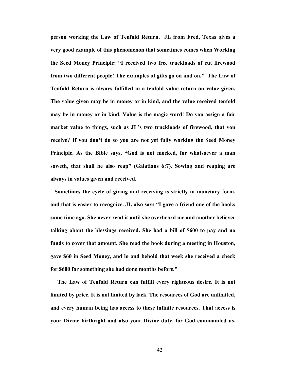**person working the Law of Tenfold Return. JL from Fred, Texas gives a very good example of this phenomenon that sometimes comes when Working the Seed Money Principle: "I received two free truckloads of cut firewood from two different people! The examples of gifts go on and on." The Law of Tenfold Return is always fulfilled in a tenfold value return on value given. The value given may be in money or in kind, and the value received tenfold may be in money or in kind. Value is the magic word! Do you assign a fair market value to things, such as JL's two truckloads of firewood, that you receive? If you don't do so you are not yet fully working the Seed Money Principle. As the Bible says, "God is not mocked, for whatsoever a man soweth, that shall he also reap" (Galatians 6:7). Sowing and reaping are always in values given and received.** 

**Sometimes the cycle of giving and receiving is strictly in monetary form, and that is easier to recognize. JL also says "I gave a friend one of the books some time ago. She never read it until she overheard me and another believer talking about the blessings received. She had a bill of \$600 to pay and no funds to cover that amount. She read the book during a meeting in Houston, gave \$60 in Seed Money, and lo and behold that week she received a check for \$600 for something she had done months before."** 

 **The Law of Tenfold Return can fulfill every righteous desire. It is not limited by price. It is not limited by lack. The resources of God are unlimited, and every human being has access to these infinite resources. That access is your Divine birthright and also your Divine duty, for God commanded us,**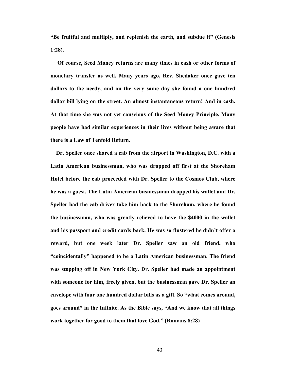**"Be fruitful and multiply, and replenish the earth, and subdue it" (Genesis 1:28).** 

 **Of course, Seed Money returns are many times in cash or other forms of monetary transfer as well. Many years ago, Rev. Shedaker once gave ten dollars to the needy, and on the very same day she found a one hundred dollar bill lying on the street. An almost instantaneous return! And in cash. At that time she was not yet conscious of the Seed Money Principle. Many people have had similar experiences in their lives without being aware that there is a Law of Tenfold Return.** 

 **Dr. Speller once shared a cab from the airport in Washington, D.C. with a Latin American businessman, who was dropped off first at the Shoreham Hotel before the cab proceeded with Dr. Speller to the Cosmos Club, where he was a guest. The Latin American businessman dropped his wallet and Dr. Speller had the cab driver take him back to the Shoreham, where he found the businessman, who was greatly relieved to have the \$4000 in the wallet and his passport and credit cards back. He was so flustered he didn't offer a reward, but one week later Dr. Speller saw an old friend, who "coincidentally" happened to be a Latin American businessman. The friend was stopping off in New York City. Dr. Speller had made an appointment with someone for him, freely given, but the businessman gave Dr. Speller an envelope with four one hundred dollar bills as a gift. So "what comes around, goes around" in the Infinite. As the Bible says, "And we know that all things work together for good to them that love God." (Romans 8:28)**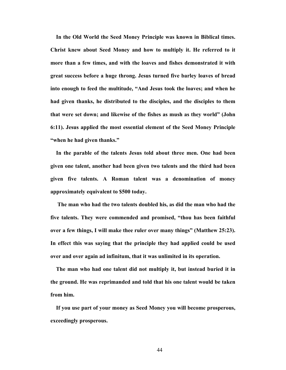**In the Old World the Seed Money Principle was known in Biblical times. Christ knew about Seed Money and how to multiply it. He referred to it more than a few times, and with the loaves and fishes demonstrated it with great success before a huge throng. Jesus turned five barley loaves of bread into enough to feed the multitude, "And Jesus took the loaves; and when he had given thanks, he distributed to the disciples, and the disciples to them that were set down; and likewise of the fishes as mush as they world" (John 6:11). Jesus applied the most essential element of the Seed Money Principle "when he had given thanks."** 

**In the parable of the talents Jesus told about three men. One had been given one talent, another had been given two talents and the third had been given five talents. A Roman talent was a denomination of money approximately equivalent to \$500 today.** 

**The man who had the two talents doubled his, as did the man who had the five talents. They were commended and promised, "thou has been faithful over a few things, I will make thee ruler over many things" (Matthew 25:23). In effect this was saying that the principle they had applied could be used over and over again ad infinitum, that it was unlimited in its operation.** 

 **The man who had one talent did not multiply it, but instead buried it in the ground. He was reprimanded and told that his one talent would be taken from him.** 

**If you use part of your money as Seed Money you will become prosperous, exceedingly prosperous.**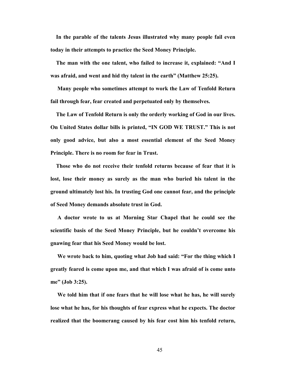**In the parable of the talents Jesus illustrated why many people fail even today in their attempts to practice the Seed Money Principle.** 

**The man with the one talent, who failed to increase it, explained: "And I was afraid, and went and hid thy talent in the earth" (Matthew 25:25).** 

**Many people who sometimes attempt to work the Law of Tenfold Return fail through fear, fear created and perpetuated only by themselves.** 

 **The Law of Tenfold Return is only the orderly working of God in our lives. On United States dollar bills is printed, "IN GOD WE TRUST." This is not only good advice, but also a most essential element of the Seed Money Principle. There is no room for fear in Trust.** 

 **Those who do not receive their tenfold returns because of fear that it is lost, lose their money as surely as the man who buried his talent in the ground ultimately lost his. In trusting God one cannot fear, and the principle of Seed Money demands absolute trust in God.** 

 **A doctor wrote to us at Morning Star Chapel that he could see the scientific basis of the Seed Money Principle, but he couldn't overcome his gnawing fear that his Seed Money would be lost.** 

 **We wrote back to him, quoting what Job had said: "For the thing which I greatly feared is come upon me, and that which I was afraid of is come unto me" (Job 3:25).** 

 **We told him that if one fears that he will lose what he has, he will surely lose what he has, for his thoughts of fear express what he expects. The doctor realized that the boomerang caused by his fear cost him his tenfold return,**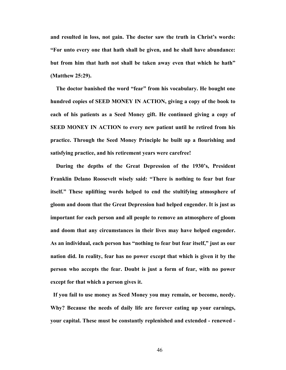**and resulted in loss, not gain. The doctor saw the truth in Christ's words: "For unto every one that hath shall be given, and he shall have abundance: but from him that hath not shall be taken away even that which he hath" (Matthew 25:29).** 

**The doctor banished the word "fear" from his vocabulary. He bought one hundred copies of SEED MONEY IN ACTION, giving a copy of the book to each of his patients as a Seed Money gift. He continued giving a copy of SEED MONEY IN ACTION to every new patient until he retired from his practice. Through the Seed Money Principle he built up a flourishing and satisfying practice, and his retirement years were carefree!** 

 **During the depths of the Great Depression of the 1930's, President Franklin Delano Roosevelt wisely said: "There is nothing to fear but fear itself." These uplifting words helped to end the stultifying atmosphere of gloom and doom that the Great Depression had helped engender. It is just as important for each person and all people to remove an atmosphere of gloom and doom that any circumstances in their lives may have helped engender. As an individual, each person has "nothing to fear but fear itself," just as our nation did. In reality, fear has no power except that which is given it by the person who accepts the fear. Doubt is just a form of fear, with no power except for that which a person gives it.** 

**If you fail to use money as Seed Money you may remain, or become, needy. Why? Because the needs of daily life are forever eating up your earnings, your capital. These must be constantly replenished and extended - renewed -**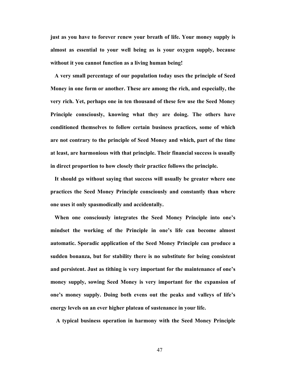**just as you have to forever renew your breath of life. Your money supply is almost as essential to your well being as is your oxygen supply, because without it you cannot function as a living human being!** 

 **A very small percentage of our population today uses the principle of Seed Money in one form or another. These are among the rich, and especially, the very rich. Yet, perhaps one in ten thousand of these few use the Seed Money Principle consciously, knowing what they are doing. The others have conditioned themselves to follow certain business practices, some of which are not contrary to the principle of Seed Money and which, part of the time at least, are harmonious with that principle. Their financial success is usually in direct proportion to how closely their practice follows the principle.** 

**It should go without saying that success will usually be greater where one practices the Seed Money Principle consciously and constantly than where one uses it only spasmodically and accidentally.** 

 **When one consciously integrates the Seed Money Principle into one's mindset the working of the Principle in one's life can become almost automatic. Sporadic application of the Seed Money Principle can produce a sudden bonanza, but for stability there is no substitute for being consistent and persistent. Just as tithing is very important for the maintenance of one's money supply, sowing Seed Money is very important for the expansion of one's money supply. Doing both evens out the peaks and valleys of life's energy levels on an ever higher plateau of sustenance in your life.** 

 **A typical business operation in harmony with the Seed Money Principle**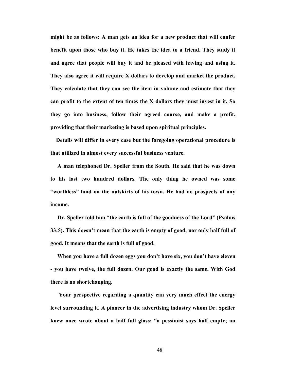**might be as follows: A man gets an idea for a new product that will confer benefit upon those who buy it. He takes the idea to a friend. They study it and agree that people will buy it and be pleased with having and using it. They also agree it will require X dollars to develop and market the product. They calculate that they can see the item in volume and estimate that they can profit to the extent of ten times the X dollars they must invest in it. So they go into business, follow their agreed course, and make a profit, providing that their marketing is based upon spiritual principles.** 

**Details will differ in every case but the foregoing operational procedure is that utilized in almost every successful business venture.** 

 **A man telephoned Dr. Speller from the South. He said that he was down to his last two hundred dollars. The only thing he owned was some "worthless" land on the outskirts of his town. He had no prospects of any income.** 

 **Dr. Speller told him "the earth is full of the goodness of the Lord" (Psalms 33:5). This doesn't mean that the earth is empty of good, nor only half full of good. It means that the earth is full of good.** 

**When you have a full dozen eggs you don't have six, you don't have eleven - you have twelve, the full dozen. Our good is exactly the same. With God there is no shortchanging.** 

**Your perspective regarding a quantity can very much effect the energy level surrounding it. A pioneer in the advertising industry whom Dr. Speller knew once wrote about a half full glass: "a pessimist says half empty; an**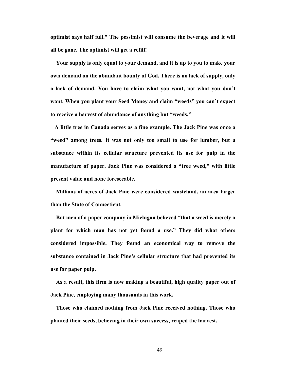**optimist says half full." The pessimist will consume the beverage and it will all be gone. The optimist will get a refill!** 

 **Your supply is only equal to your demand, and it is up to you to make your own demand on the abundant bounty of God. There is no lack of supply, only a lack of demand. You have to claim what you want, not what you don't want. When you plant your Seed Money and claim "weeds" you can't expect to receive a harvest of abundance of anything but "weeds."** 

**A little tree in Canada serves as a fine example. The Jack Pine was once a "weed" among trees. It was not only too small to use for lumber, but a substance within its cellular structure prevented its use for pulp in the manufacture of paper. Jack Pine was considered a "tree weed," with little present value and none foreseeable.** 

**Millions of acres of Jack Pine were considered wasteland, an area larger than the State of Connecticut.** 

 **But men of a paper company in Michigan believed "that a weed is merely a plant for which man has not yet found a use." They did what others considered impossible. They found an economical way to remove the substance contained in Jack Pine's cellular structure that had prevented its use for paper pulp.** 

 **As a result, this firm is now making a beautiful, high quality paper out of Jack Pine, employing many thousands in this work.** 

 **Those who claimed nothing from Jack Pine received nothing. Those who planted their seeds, believing in their own success, reaped the harvest.**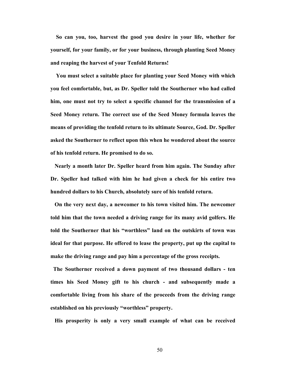**So can you, too, harvest the good you desire in your life, whether for yourself, for your family, or for your business, through planting Seed Money and reaping the harvest of your Tenfold Returns!** 

**You must select a suitable place for planting your Seed Money with which you feel comfortable, but, as Dr. Speller told the Southerner who had called him, one must not try to select a specific channel for the transmission of a Seed Money return. The correct use of the Seed Money formula leaves the means of providing the tenfold return to its ultimate Source, God. Dr. Speller asked the Southerner to reflect upon this when he wondered about the source of his tenfold return. He promised to do so.** 

**Nearly a month later Dr. Speller heard from him again. The Sunday after Dr. Speller had talked with him he had given a check for his entire two hundred dollars to his Church, absolutely sure of his tenfold return.** 

**On the very next day, a newcomer to his town visited him. The newcomer told him that the town needed a driving range for its many avid golfers. He told the Southerner that his "worthless" land on the outskirts of town was ideal for that purpose. He offered to lease the property, put up the capital to make the driving range and pay him a percentage of the gross receipts.** 

**The Southerner received a down payment of two thousand dollars - ten times his Seed Money gift to his church - and subsequently made a comfortable living from his share of the proceeds from the driving range established on his previously "worthless" property.** 

 **His prosperity is only a very small example of what can be received**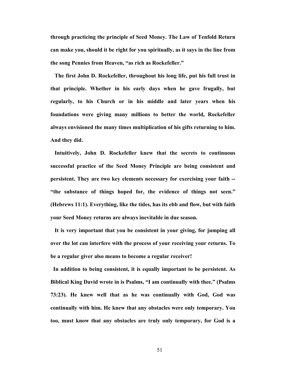**through practicing the principle of Seed Money. The Law of Tenfold Return can make you, should it be right for you spiritually, as it says in the line from the song Pennies from Heaven, "as rich as Rockefeller."** 

**The first John D. Rockefeller, throughout his long life, put his full trust in that principle. Whether in his early days when he gave frugally, but regularly, to his Church or in his middle and later years when his foundations were giving many millions to better the world, Rockefeller always envisioned the many times multiplication of his gifts returning to him. And they did.** 

 **Intuitively, John D. Rockefeller knew that the secrets to continuous successful practice of the Seed Money Principle are being consistent and persistent. They are two key elements necessary for exercising your faith -- "the substance of things hoped for, the evidence of things not seen." (Hebrews 11:1). Everything, like the tides, has its ebb and flow, but with faith your Seed Money returns are always inevitable in due season.** 

**It is very important that you be consistent in your giving, for jumping all over the lot can interfere with the process of your receiving your returns. To be a regular giver also means to become a regular receiver!** 

**In addition to being consistent, it is equally important to be persistent. As Biblical King David wrote in is Psalms, "I am continually with thee." (Psalms 73:23). He knew well that as he was continually with God, God was continually with him. He knew that any obstacles were only temporary. You too, must know that any obstacles are truly only temporary, for God is a**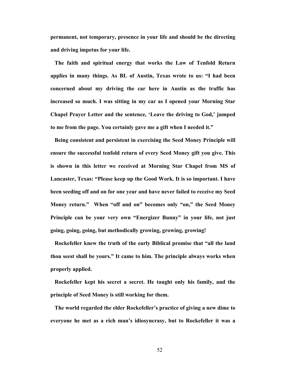**permanent, not temporary, presence in your life and should be the directing and driving impetus for your life.** 

**The faith and spiritual energy that works the Law of Tenfold Return applies in many things. As BL of Austin, Texas wrote to us: "I had been concerned about my driving the car here in Austin as the traffic has increased so much. I was sitting in my car as I opened your Morning Star Chapel Prayer Letter and the sentence, 'Leave the driving to God,' jumped to me from the page. You certainly gave me a gift when I needed it."** 

**Being consistent and persistent in exercising the Seed Money Principle will ensure the successful tenfold return of every Seed Money gift you give. This is shown in this letter we received at Morning Star Chapel from MS of Lancaster, Texas: "Please keep up the Good Work. It is so important. I have been seeding off and on for one year and have never failed to receive my Seed Money return." When "off and on" becomes only "on," the Seed Money Principle can be your very own "Energizer Bunny" in your life, not just going, going, going, but methodically growing, growing, growing!** 

**Rockefeller knew the truth of the early Biblical promise that "all the land thou seest shall be yours." It came to him. The principle always works when properly applied.** 

**Rockefeller kept his secret a secret. He taught only his family, and the principle of Seed Money is still working for them.** 

 **The world regarded the elder Rockefeller's practice of giving a new dime to everyone he met as a rich man's idiosyncrasy, but to Rockefeller it was a**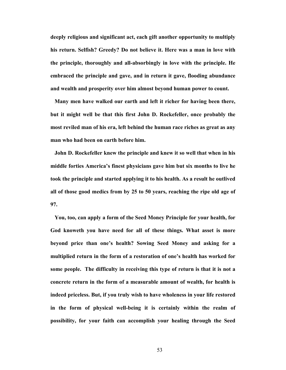**deeply religious and significant act, each gift another opportunity to multiply his return. Selfish? Greedy? Do not believe it. Here was a man in love with the principle, thoroughly and all-absorbingly in love with the principle. He embraced the principle and gave, and in return it gave, flooding abundance and wealth and prosperity over him almost beyond human power to count.** 

**Many men have walked our earth and left it richer for having been there, but it might well be that this first John D. Rockefeller, once probably the most reviled man of his era, left behind the human race riches as great as any man who had been on earth before him.** 

 **John D. Rockefeller knew the principle and knew it so well that when in his middle forties America's finest physicians gave him but six months to live he took the principle and started applying it to his health. As a result he outlived all of those good medics from by 25 to 50 years, reaching the ripe old age of 97.** 

**You, too, can apply a form of the Seed Money Principle for your health, for God knoweth you have need for all of these things. What asset is more beyond price than one's health? Sowing Seed Money and asking for a multiplied return in the form of a restoration of one's health has worked for some people. The difficulty in receiving this type of return is that it is not a concrete return in the form of a measurable amount of wealth, for health is indeed priceless. But, if you truly wish to have wholeness in your life restored in the form of physical well-being it is certainly within the realm of possibility, for your faith can accomplish your healing through the Seed**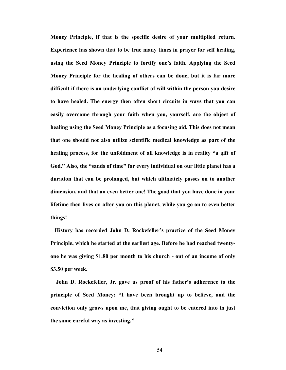**Money Principle, if that is the specific desire of your multiplied return. Experience has shown that to be true many times in prayer for self healing, using the Seed Money Principle to fortify one's faith. Applying the Seed Money Principle for the healing of others can be done, but it is far more difficult if there is an underlying conflict of will within the person you desire to have healed. The energy then often short circuits in ways that you can easily overcome through your faith when you, yourself, are the object of healing using the Seed Money Principle as a focusing aid. This does not mean that one should not also utilize scientific medical knowledge as part of the healing process, for the unfoldment of all knowledge is in reality "a gift of God." Also, the "sands of time" for every individual on our little planet has a duration that can be prolonged, but which ultimately passes on to another dimension, and that an even better one! The good that you have done in your lifetime then lives on after you on this planet, while you go on to even better things!** 

**History has recorded John D. Rockefeller's practice of the Seed Money Principle, which he started at the earliest age. Before he had reached twentyone he was giving \$1.80 per month to his church - out of an income of only \$3.50 per week.** 

**John D. Rockefeller, Jr. gave us proof of his father's adherence to the principle of Seed Money: "I have been brought up to believe, and the conviction only grows upon me, that giving ought to be entered into in just the same careful way as investing."**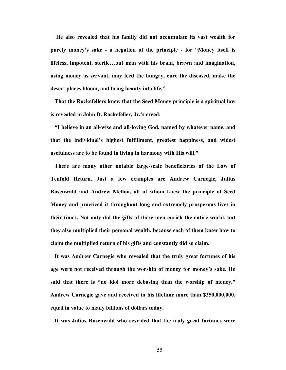**He also revealed that his family did not accumulate its vast wealth for purely money's sake - a negation of the principle - for "Money itself is lifeless, impotent, sterile…but man with his brain, brawn and imagination, using money as servant, may feed the hungry, cure the diseased, make the desert places bloom, and bring beauty into life."** 

**That the Rockefellers knew that the Seed Money principle is a spiritual law is revealed in John D. Rockefeller, Jr.'s creed:** 

**"I believe in an all-wise and all-loving God, named by whatever name, and that the individual's highest fulfillment, greatest happiness, and widest usefulness are to be found in living in harmony with His will."** 

 **There are many other notable large-scale beneficiaries of the Law of Tenfold Return. Just a few examples are Andrew Carnegie, Julius Rosenwald and Andrew Mellon, all of whom knew the principle of Seed Money and practiced it throughout long and extremely prosperous lives in their times. Not only did the gifts of these men enrich the entire world, but they also multiplied their personal wealth, because each of them knew how to claim the multiplied return of his gifts and constantly did so claim.** 

**It was Andrew Carnegie who revealed that the truly great fortunes of his age were not received through the worship of money for money's sake. He said that there is "no idol more debasing than the worship of money." Andrew Carnegie gave and received in his lifetime more than \$350,000,000, equal in value to many billions of dollars today.** 

 **It was Julius Rosenwald who revealed that the truly great fortunes were**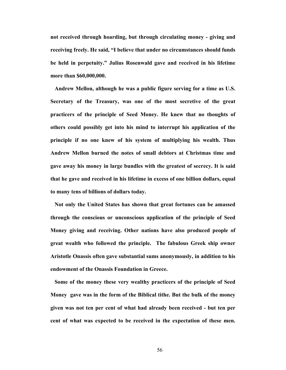**not received through hoarding, but through circulating money - giving and receiving freely. He said, "I believe that under no circumstances should funds be held in perpetuity." Julius Rosenwald gave and received in his lifetime more than \$60,000,000.** 

**Andrew Mellon, although he was a public figure serving for a time as U.S. Secretary of the Treasury, was one of the most secretive of the great practicers of the principle of Seed Money. He knew that no thoughts of others could possibly get into his mind to interrupt his application of the principle if no one knew of his system of multiplying his wealth. Thus Andrew Mellon burned the notes of small debtors at Christmas time and gave away his money in large bundles with the greatest of secrecy. It is said that he gave and received in his lifetime in excess of one billion dollars, equal to many tens of billions of dollars today.** 

**Not only the United States has shown that great fortunes can be amassed through the conscious or unconscious application of the principle of Seed Money giving and receiving. Other nations have also produced people of great wealth who followed the principle. The fabulous Greek ship owner Aristotle Onassis often gave substantial sums anonymously, in addition to his endowment of the Onassis Foundation in Greece.** 

**Some of the money these very wealthy practicers of the principle of Seed Money gave was in the form of the Biblical tithe. But the bulk of the money given was not ten per cent of what had already been received - but ten per cent of what was expected to be received in the expectation of these men.**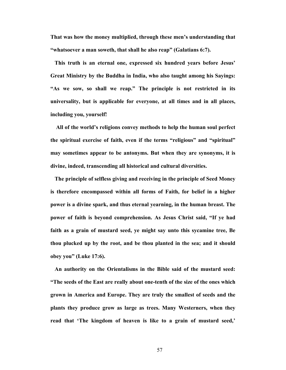**That was how the money multiplied, through these men's understanding that "whatsoever a man soweth, that shall he also reap" (Galatians 6:7).** 

**This truth is an eternal one, expressed six hundred years before Jesus' Great Ministry by the Buddha in India, who also taught among his Sayings: "As we sow, so shall we reap." The principle is not restricted in its universality, but is applicable for everyone, at all times and in all places, including you, yourself!** 

**All of the world's religions convey methods to help the human soul perfect the spiritual exercise of faith, even if the terms "religious" and "spiritual" may sometimes appear to be antonyms. But when they are synonyms, it is divine, indeed, transcending all historical and cultural diversities.** 

 **The principle of selfless giving and receiving in the principle of Seed Money is therefore encompassed within all forms of Faith, for belief in a higher power is a divine spark, and thus eternal yearning, in the human breast. The power of faith is beyond comprehension. As Jesus Christ said, "If ye had faith as a grain of mustard seed, ye might say unto this sycamine tree, Be thou plucked up by the root, and be thou planted in the sea; and it should obey you" (Luke 17:6).** 

 **An authority on the Orientalisms in the Bible said of the mustard seed: "The seeds of the East are really about one-tenth of the size of the ones which grown in America and Europe. They are truly the smallest of seeds and the plants they produce grow as large as trees. Many Westerners, when they read that 'The kingdom of heaven is like to a grain of mustard seed,'**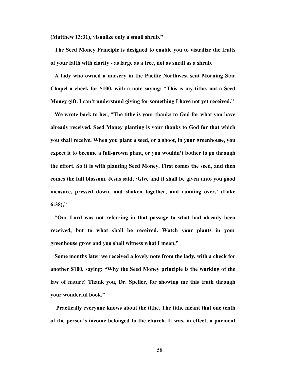**(Matthew 13:31), visualize only a small shrub."** 

**The Seed Money Principle is designed to enable you to visualize the fruits of your faith with clarity - as large as a tree, not as small as a shrub.** 

**A lady who owned a nursery in the Pacific Northwest sent Morning Star Chapel a check for \$100, with a note saying: "This is my tithe, not a Seed Money gift. I can't understand giving for something I have not yet received."** 

**We wrote back to her, "The tithe is your thanks to God for what you have already received. Seed Money planting is your thanks to God for that which you shall receive. When you plant a seed, or a shoot, in your greenhouse, you expect it to become a full-grown plant, or you wouldn't bother to go through the effort. So it is with planting Seed Money. First comes the seed, and then comes the full blossom. Jesus said, 'Give and it shall be given unto you good measure, pressed down, and shaken together, and running over,' (Luke 6:38),"** 

**"Our Lord was not referring in that passage to what had already been received, but to what shall be received. Watch your plants in your greenhouse grow and you shall witness what I mean."** 

 **Some months later we received a lovely note from the lady, with a check for another \$100, saying: "Why the Seed Money principle is the working of the law of nature! Thank you, Dr. Speller, for showing me this truth through your wonderful book."** 

 **Practically everyone knows about the tithe. The tithe meant that one tenth of the person's income belonged to the church. It was, in effect, a payment**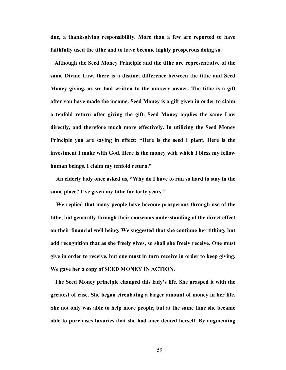**due, a thanksgiving responsibility. More than a few are reported to have faithfully used the tithe and to have become highly prosperous doing so.** 

**Although the Seed Money Principle and the tithe are representative of the same Divine Law, there is a distinct difference between the tithe and Seed Money giving, as we had written to the nursery owner. The tithe is a gift after you have made the income. Seed Money is a gift given in order to claim a tenfold return after giving the gift. Seed Money applies the same Law directly, and therefore much more effectively. In utilizing the Seed Money Principle you are saying in effect: "Here is the seed I plant. Here is the investment I make with God. Here is the money with which I bless my fellow human beings. I claim my tenfold return."** 

 **An elderly lady once asked us, "Why do I have to run so hard to stay in the same place? I've given my tithe for forty years."** 

 **We replied that many people have become prosperous through use of the tithe, but generally through their conscious understanding of the direct effect on their financial well being. We suggested that she continue her tithing, but add recognition that as she freely gives, so shall she freely receive. One must give in order to receive, but one must in turn receive in order to keep giving. We gave her a copy of SEED MONEY IN ACTION.** 

**The Seed Money principle changed this lady's life. She grasped it with the greatest of ease. She began circulating a larger amount of money in her life. She not only was able to help more people, but at the same time she became able to purchases luxuries that she had once denied herself. By augmenting**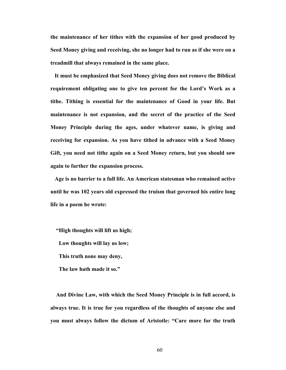**the maintenance of her tithes with the expansion of her good produced by Seed Money giving and receiving, she no longer had to run as if she were on a treadmill that always remained in the same place.** 

 **It must be emphasized that Seed Money giving does not remove the Biblical requirement obligating one to give ten percent for the Lord's Work as a tithe. Tithing is essential for the maintenance of Good in your life. But maintenance is not expansion, and the secret of the practice of the Seed Money Principle during the ages, under whatever name, is giving and receiving for expansion. As you have tithed in advance with a Seed Money Gift, you need not tithe again on a Seed Money return, but you should sow again to further the expansion process.** 

 **Age is no barrier to a full life. An American statesman who remained active until he was 102 years old expressed the truism that governed his entire long life in a poem he wrote:** 

 **"High thoughts will lift us high; Low thoughts will lay us low;**

 **This truth none may deny,** 

 **The law hath made it so."** 

**And Divine Law, with which the Seed Money Principle is in full accord, is always true. It is true for you regardless of the thoughts of anyone else and you must always follow the dictum of Aristotle: "Care more for the truth**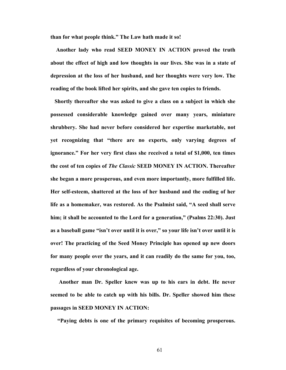**than for what people think." The Law hath made it so!** 

**Another lady who read SEED MONEY IN ACTION proved the truth about the effect of high and low thoughts in our lives. She was in a state of depression at the loss of her husband, and her thoughts were very low. The reading of the book lifted her spirits, and she gave ten copies to friends.** 

**Shortly thereafter she was asked to give a class on a subject in which she possessed considerable knowledge gained over many years, miniature shrubbery. She had never before considered her expertise marketable, not yet recognizing that "there are no experts, only varying degrees of ignorance." For her very first class she received a total of \$1,000, ten times the cost of ten copies of** *The Classic* **SEED MONEY IN ACTION. Thereafter she began a more prosperous, and even more importantly, more fulfilled life. Her self-esteem, shattered at the loss of her husband and the ending of her life as a homemaker, was restored. As the Psalmist said, "A seed shall serve him; it shall be accounted to the Lord for a generation," (Psalms 22:30). Just as a baseball game "isn't over until it is over," so your life isn't over until it is over! The practicing of the Seed Money Principle has opened up new doors for many people over the years, and it can readily do the same for you, too, regardless of your chronological age.** 

 **Another man Dr. Speller knew was up to his ears in debt. He never seemed to be able to catch up with his bills. Dr. Speller showed him these passages in SEED MONEY IN ACTION:** 

 **"Paying debts is one of the primary requisites of becoming prosperous.**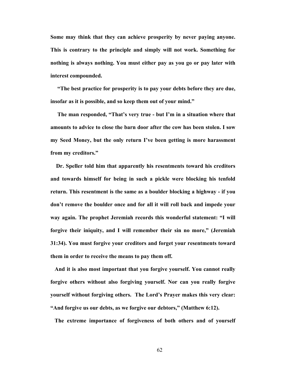**Some may think that they can achieve prosperity by never paying anyone. This is contrary to the principle and simply will not work. Something for nothing is always nothing. You must either pay as you go or pay later with interest compounded.** 

 **"The best practice for prosperity is to pay your debts before they are due, insofar as it is possible, and so keep them out of your mind."** 

 **The man responded, "That's very true - but I'm in a situation where that amounts to advice to close the barn door after the cow has been stolen. I sow my Seed Money, but the only return I've been getting is more harassment from my creditors."** 

**Dr. Speller told him that apparently his resentments toward his creditors and towards himself for being in such a pickle were blocking his tenfold return. This resentment is the same as a boulder blocking a highway - if you don't remove the boulder once and for all it will roll back and impede your way again. The prophet Jeremiah records this wonderful statement: "I will forgive their iniquity, and I will remember their sin no more," (Jeremiah 31:34). You must forgive your creditors and forget your resentments toward them in order to receive the means to pay them off.** 

**And it is also most important that you forgive yourself. You cannot really forgive others without also forgiving yourself. Nor can you really forgive yourself without forgiving others. The Lord's Prayer makes this very clear: "And forgive us our debts, as we forgive our debtors," (Matthew 6:12).** 

**The extreme importance of forgiveness of both others and of yourself**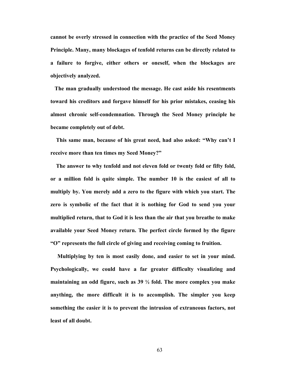**cannot be overly stressed in connection with the practice of the Seed Money Principle. Many, many blockages of tenfold returns can be directly related to a failure to forgive, either others or oneself, when the blockages are objectively analyzed.** 

**The man gradually understood the message. He cast aside his resentments toward his creditors and forgave himself for his prior mistakes, ceasing his almost chronic self-condemnation. Through the Seed Money principle he became completely out of debt.** 

**This same man, because of his great need, had also asked: "Why can't I receive more than ten times my Seed Money?"** 

**The answer to why tenfold and not eleven fold or twenty fold or fifty fold, or a million fold is quite simple. The number 10 is the easiest of all to multiply by. You merely add a zero to the figure with which you start. The zero is symbolic of the fact that it is nothing for God to send you your multiplied return, that to God it is less than the air that you breathe to make available your Seed Money return. The perfect circle formed by the figure "O" represents the full circle of giving and receiving coming to fruition.** 

 **Multiplying by ten is most easily done, and easier to set in your mind. Psychologically, we could have a far greater difficulty visualizing and maintaining an odd figure, such as 39 ½ fold. The more complex you make anything, the more difficult it is to accomplish. The simpler you keep something the easier it is to prevent the intrusion of extraneous factors, not least of all doubt.**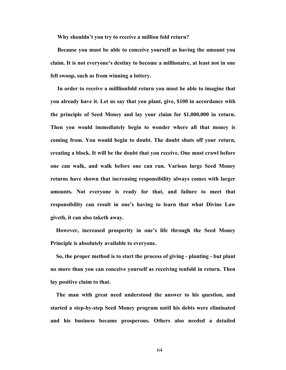**Why shouldn't you try to receive a million fold return?** 

**Because you must be able to conceive yourself as having the amount you claim. It is not everyone's destiny to become a millionaire, at least not in one fell swoop, such as from winning a lottery.** 

**In order to receive a milllionfold return you must be able to imagine that you already have it. Let us say that you plant, give, \$100 in accordance with the principle of Seed Money and lay your claim for \$1,000,000 in return. Then you would immediately begin to wonder where all that money is coming from. You would begin to doubt. The doubt shuts off your return, creating a block. It will be the doubt that you receive. One must crawl before one can walk, and walk before one can run. Various large Seed Money returns have shown that increasing responsibility always comes with larger amounts. Not everyone is ready for that, and failure to meet that responsibility can result in one's having to learn that what Divine Law giveth, it can also taketh away.** 

 **However, increased prosperity in one's life through the Seed Money Principle is absolutely available to everyone.** 

 **So, the proper method is to start the process of giving - planting - but plant no more than you can conceive yourself as receiving tenfold in return. Then lay positive claim to that.** 

**The man with great need understood the answer to his question, and started a step-by-step Seed Money program until his debts were eliminated and his business became prosperous. Others also needed a detailed**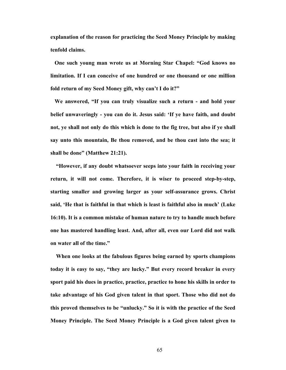**explanation of the reason for practicing the Seed Money Principle by making tenfold claims.** 

**One such young man wrote us at Morning Star Chapel: "God knows no limitation. If I can conceive of one hundred or one thousand or one million fold return of my Seed Money gift, why can't I do it?"** 

**We answered, "If you can truly visualize such a return - and hold your belief unwaveringly - you can do it. Jesus said: 'If ye have faith, and doubt not, ye shall not only do this which is done to the fig tree, but also if ye shall say unto this mountain, Be thou removed, and be thou cast into the sea; it shall be done" (Matthew 21:21).** 

 **"However, if any doubt whatsoever seeps into your faith in receiving your return, it will not come. Therefore, it is wiser to proceed step-by-step, starting smaller and growing larger as your self-assurance grows. Christ said, 'He that is faithful in that which is least is faithful also in much' (Luke 16:10). It is a common mistake of human nature to try to handle much before one has mastered handling least. And, after all, even our Lord did not walk on water all of the time."** 

**When one looks at the fabulous figures being earned by sports champions today it is easy to say, "they are lucky." But every record breaker in every sport paid his dues in practice, practice, practice to hone his skills in order to take advantage of his God given talent in that sport. Those who did not do this proved themselves to be "unlucky." So it is with the practice of the Seed Money Principle. The Seed Money Principle is a God given talent given to**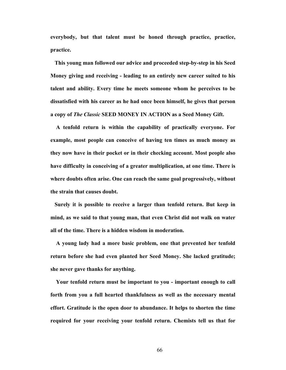**everybody, but that talent must be honed through practice, practice, practice.** 

 **This young man followed our advice and proceeded step-by-step in his Seed Money giving and receiving - leading to an entirely new career suited to his talent and ability. Every time he meets someone whom he perceives to be dissatisfied with his career as he had once been himself, he gives that person a copy of** *The Classic* **SEED MONEY IN ACTION as a Seed Money Gift.** 

**A tenfold return is within the capability of practically everyone. For example, most people can conceive of having ten times as much money as they now have in their pocket or in their checking account. Most people also have difficulty in conceiving of a greater multiplication, at one time. There is where doubts often arise. One can reach the same goal progressively, without the strain that causes doubt.** 

**Surely it is possible to receive a larger than tenfold return. But keep in mind, as we said to that young man, that even Christ did not walk on water all of the time. There is a hidden wisdom in moderation.** 

**A young lady had a more basic problem, one that prevented her tenfold return before she had even planted her Seed Money. She lacked gratitude; she never gave thanks for anything.** 

**Your tenfold return must be important to you - important enough to call forth from you a full hearted thankfulness as well as the necessary mental effort. Gratitude is the open door to abundance. It helps to shorten the time required for your receiving your tenfold return. Chemists tell us that for**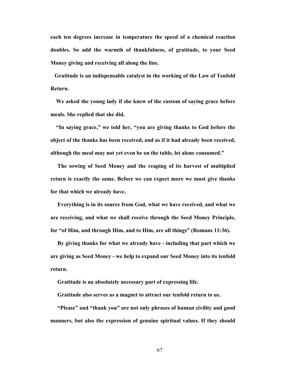**each ten degrees increase in temperature the speed of a chemical reaction doubles. So add the warmth of thankfulness, of gratitude, to your Seed Money giving and receiving all along the line.** 

**Gratitude is an indispensable catalyst in the working of the Law of Tenfold Return.** 

**We asked the young lady if she knew of the custom of saying grace before meals. She replied that she did.** 

**"In saying grace," we told her, "you are giving thanks to God before the object of the thanks has been received, and as if it had already been received, although the meal may not yet even be on the table, let alone consumed."** 

 **The sowing of Seed Money and the reaping of its harvest of multiplied return is exactly the same. Before we can expect more we must give thanks for that which we already have.** 

 **Everything is in its source from God, what we have received, and what we are receiving, and what we shall receive through the Seed Money Principle, for "of Him, and through Him, and to Him, are all things" (Romans 11:36).** 

**By giving thanks for what we already have - including that part which we are giving as Seed Money - we help to expand our Seed Money into its tenfold return.** 

 **Gratitude is an absolutely necessary part of expressing life.** 

 **Gratitude also serves as a magnet to attract our tenfold return to us.** 

 **"Please" and "thank you" are not only phrases of human civility and good manners, but also the expression of genuine spiritual values. If they should**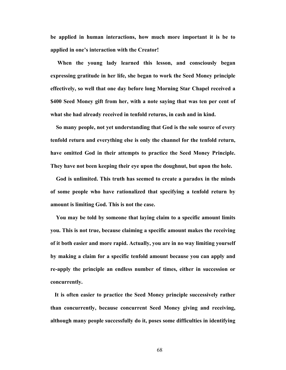**be applied in human interactions, how much more important it is be to applied in one's interaction with the Creator!** 

 **When the young lady learned this lesson, and consciously began expressing gratitude in her life, she began to work the Seed Money principle effectively, so well that one day before long Morning Star Chapel received a \$400 Seed Money gift from her, with a note saying that was ten per cent of what she had already received in tenfold returns, in cash and in kind.** 

**So many people, not yet understanding that God is the sole source of every tenfold return and everything else is only the channel for the tenfold return, have omitted God in their attempts to practice the Seed Money Principle. They have not been keeping their eye upon the doughnut, but upon the hole.** 

**God is unlimited. This truth has seemed to create a paradox in the minds of some people who have rationalized that specifying a tenfold return by amount is limiting God. This is not the case.** 

**You may be told by someone that laying claim to a specific amount limits you. This is not true, because claiming a specific amount makes the receiving of it both easier and more rapid. Actually, you are in no way limiting yourself by making a claim for a specific tenfold amount because you can apply and re-apply the principle an endless number of times, either in succession or concurrently.** 

**It is often easier to practice the Seed Money principle successively rather than concurrently, because concurrent Seed Money giving and receiving, although many people successfully do it, poses some difficulties in identifying**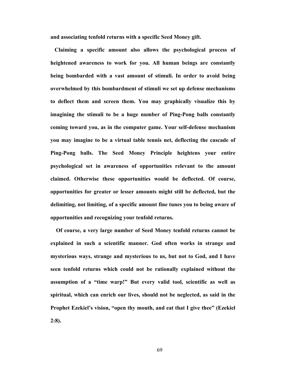**and associating tenfold returns with a specific Seed Money gift.** 

**Claiming a specific amount also allows the psychological process of heightened awareness to work for you. All human beings are constantly being bombarded with a vast amount of stimuli. In order to avoid being overwhelmed by this bombardment of stimuli we set up defense mechanisms to deflect them and screen them. You may graphically visualize this by imagining the stimuli to be a huge number of Ping-Pong balls constantly coming toward you, as in the computer game. Your self-defense mechanism you may imagine to be a virtual table tennis net, deflecting the cascade of Ping-Pong balls. The Seed Money Principle heightens your entire psychological set in awareness of opportunities relevant to the amount claimed. Otherwise these opportunities would be deflected. Of course, opportunities for greater or lesser amounts might still be deflected, but the delimiting, not limiting, of a specific amount fine tunes you to being aware of opportunities and recognizing your tenfold returns.** 

**Of course, a very large number of Seed Money tenfold returns cannot be explained in such a scientific manner. God often works in strange and mysterious ways, strange and mysterious to us, but not to God, and I have seen tenfold returns which could not be rationally explained without the assumption of a "time warp!" But every valid tool, scientific as well as spiritual, which can enrich our lives, should not be neglected, as said in the Prophet Ezekiel's vision, "open thy mouth, and eat that I give thee" (Ezekiel 2:8).**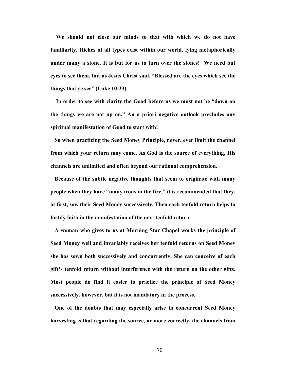**We should not close our minds to that with which we do not have familiarity. Riches of all types exist within our world, lying metaphorically under many a stone. It is but for us to turn over the stones! We need but eyes to see them, for, as Jesus Christ said, "Blessed are the eyes which see the things that ye see" (Luke 10:23).** 

**In order to see with clarity the Good before us we must not be "down on the things we are not up on." An a priori negative outlook precludes any spiritual manifestation of Good to start with!** 

**So when practicing the Seed Money Principle, never, ever limit the channel from which your return may come. As God is the source of everything, His channels are unlimited and often beyond our rational comprehension.** 

**Because of the subtle negative thoughts that seem to originate with many people when they have "many irons in the fire," it is recommended that they, at first, sow their Seed Money successively. Then each tenfold return helps to fortify faith in the manifestation of the next tenfold return.** 

**A woman who gives to us at Morning Star Chapel works the principle of Seed Money well and invariably receives her tenfold returns on Seed Money she has sown both successively and concurrently. She can conceive of each gift's tenfold return without interference with the return on the other gifts. Most people do find it easier to practice the principle of Seed Money successively, however, but it is not mandatory in the process.** 

**One of the doubts that may especially arise in concurrent Seed Money harvesting is that regarding the source, or more correctly, the channels from**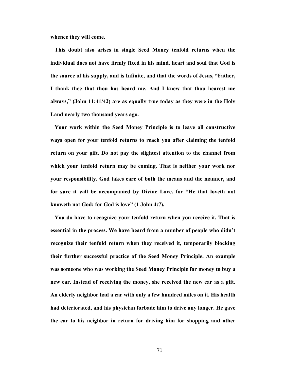**whence they will come.** 

 **This doubt also arises in single Seed Money tenfold returns when the individual does not have firmly fixed in his mind, heart and soul that God is the source of his supply, and is Infinite, and that the words of Jesus, "Father, I thank thee that thou has heard me. And I knew that thou hearest me always," (John 11:41/42) are as equally true today as they were in the Holy Land nearly two thousand years ago.** 

**Your work within the Seed Money Principle is to leave all constructive ways open for your tenfold returns to reach you after claiming the tenfold return on your gift. Do not pay the slightest attention to the channel from which your tenfold return may be coming. That is neither your work nor your responsibility. God takes care of both the means and the manner, and for sure it will be accompanied by Divine Love, for "He that loveth not knoweth not God; for God is love" (1 John 4:7).** 

**You do have to recognize your tenfold return when you receive it. That is essential in the process. We have heard from a number of people who didn't recognize their tenfold return when they received it, temporarily blocking their further successful practice of the Seed Money Principle. An example was someone who was working the Seed Money Principle for money to buy a new car. Instead of receiving the money, she received the new car as a gift. An elderly neighbor had a car with only a few hundred miles on it. His health had deteriorated, and his physician forbade him to drive any longer. He gave the car to his neighbor in return for driving him for shopping and other**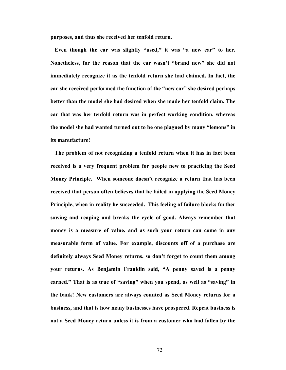**purposes, and thus she received her tenfold return.** 

**Even though the car was slightly "used," it was "a new car" to her. Nonetheless, for the reason that the car wasn't "brand new" she did not immediately recognize it as the tenfold return she had claimed. In fact, the car she received performed the function of the "new car" she desired perhaps better than the model she had desired when she made her tenfold claim. The car that was her tenfold return was in perfect working condition, whereas the model she had wanted turned out to be one plagued by many "lemons" in its manufacture!** 

**The problem of not recognizing a tenfold return when it has in fact been received is a very frequent problem for people new to practicing the Seed Money Principle. When someone doesn't recognize a return that has been received that person often believes that he failed in applying the Seed Money Principle, when in reality he succeeded. This feeling of failure blocks further sowing and reaping and breaks the cycle of good. Always remember that money is a measure of value, and as such your return can come in any measurable form of value. For example, discounts off of a purchase are definitely always Seed Money returns, so don't forget to count them among your returns. As Benjamin Franklin said, "A penny saved is a penny earned." That is as true of "saving" when you spend, as well as "saving" in the bank! New customers are always counted as Seed Money returns for a business, and that is how many businesses have prospered. Repeat business is not a Seed Money return unless it is from a customer who had fallen by the**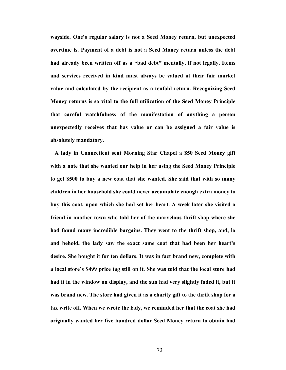**wayside. One's regular salary is not a Seed Money return, but unexpected overtime is. Payment of a debt is not a Seed Money return unless the debt had already been written off as a "bad debt" mentally, if not legally. Items and services received in kind must always be valued at their fair market value and calculated by the recipient as a tenfold return. Recognizing Seed Money returns is so vital to the full utilization of the Seed Money Principle that careful watchfulness of the manifestation of anything a person unexpectedly receives that has value or can be assigned a fair value is absolutely mandatory.** 

**A lady in Connecticut sent Morning Star Chapel a \$50 Seed Money gift with a note that she wanted our help in her using the Seed Money Principle to get \$500 to buy a new coat that she wanted. She said that with so many children in her household she could never accumulate enough extra money to buy this coat, upon which she had set her heart. A week later she visited a friend in another town who told her of the marvelous thrift shop where she had found many incredible bargains. They went to the thrift shop, and, lo and behold, the lady saw the exact same coat that had been her heart's desire. She bought it for ten dollars. It was in fact brand new, complete with a local store's \$499 price tag still on it. She was told that the local store had had it in the window on display, and the sun had very slightly faded it, but it was brand new. The store had given it as a charity gift to the thrift shop for a tax write off. When we wrote the lady, we reminded her that the coat she had originally wanted her five hundred dollar Seed Money return to obtain had**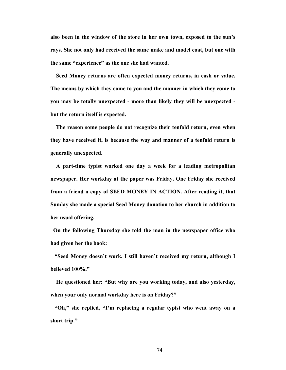**also been in the window of the store in her own town, exposed to the sun's rays. She not only had received the same make and model coat, but one with the same "experience" as the one she had wanted.** 

 **Seed Money returns are often expected money returns, in cash or value. The means by which they come to you and the manner in which they come to you may be totally unexpected - more than likely they will be unexpected but the return itself is expected.** 

**The reason some people do not recognize their tenfold return, even when they have received it, is because the way and manner of a tenfold return is generally unexpected.** 

 **A part-time typist worked one day a week for a leading metropolitan newspaper. Her workday at the paper was Friday. One Friday she received from a friend a copy of SEED MONEY IN ACTION. After reading it, that Sunday she made a special Seed Money donation to her church in addition to her usual offering.** 

**On the following Thursday she told the man in the newspaper office who had given her the book:** 

**"Seed Money doesn't work. I still haven't received my return, although I believed 100%."** 

**He questioned her: "But why are you working today, and also yesterday, when your only normal workday here is on Friday?"** 

**"Oh," she replied, "I'm replacing a regular typist who went away on a short trip."**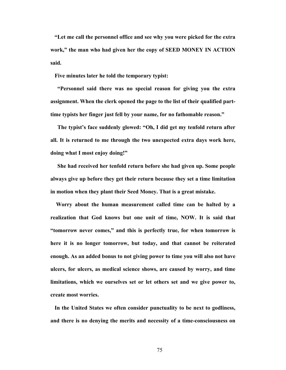**"Let me call the personnel office and see why you were picked for the extra work," the man who had given her the copy of SEED MONEY IN ACTION said.** 

 **Five minutes later he told the temporary typist:** 

 **"Personnel said there was no special reason for giving you the extra assignment. When the clerk opened the page to the list of their qualified parttime typists her finger just fell by your name, for no fathomable reason."** 

 **The typist's face suddenly glowed: "Oh, I did get my tenfold return after all. It is returned to me through the two unexpected extra days work here, doing what I most enjoy doing!"** 

 **She had received her tenfold return before she had given up. Some people always give up before they get their return because they set a time limitation in motion when they plant their Seed Money. That is a great mistake.** 

 **Worry about the human measurement called time can be halted by a realization that God knows but one unit of time, NOW. It is said that "tomorrow never comes," and this is perfectly true, for when tomorrow is here it is no longer tomorrow, but today, and that cannot be reiterated enough. As an added bonus to not giving power to time you will also not have ulcers, for ulcers, as medical science shows, are caused by worry, and time limitations, which we ourselves set or let others set and we give power to, create most worries.** 

**In the United States we often consider punctuality to be next to godliness, and there is no denying the merits and necessity of a time-consciousness on**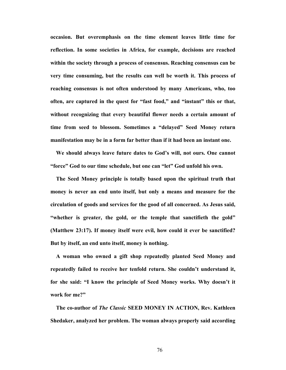**occasion. But overemphasis on the time element leaves little time for reflection. In some societies in Africa, for example, decisions are reached within the society through a process of consensus. Reaching consensus can be very time consuming, but the results can well be worth it. This process of reaching consensus is not often understood by many Americans, who, too often, are captured in the quest for "fast food," and "instant" this or that, without recognizing that every beautiful flower needs a certain amount of time from seed to blossom. Sometimes a "delayed" Seed Money return manifestation may be in a form far better than if it had been an instant one.** 

**We should always leave future dates to God's will, not ours. One cannot "force" God to our time schedule, but one can "let" God unfold his own.** 

 **The Seed Money principle is totally based upon the spiritual truth that money is never an end unto itself, but only a means and measure for the circulation of goods and services for the good of all concerned. As Jesus said, "whether is greater, the gold, or the temple that sanctifieth the gold" (Matthew 23:17). If money itself were evil, how could it ever be sanctified? But by itself, an end unto itself, money is nothing.** 

**A woman who owned a gift shop repeatedly planted Seed Money and repeatedly failed to receive her tenfold return. She couldn't understand it, for she said: "I know the principle of Seed Money works. Why doesn't it work for me?"** 

 **The co-author of** *The Classic* **SEED MONEY IN ACTION, Rev. Kathleen Shedaker, analyzed her problem. The woman always properly said according**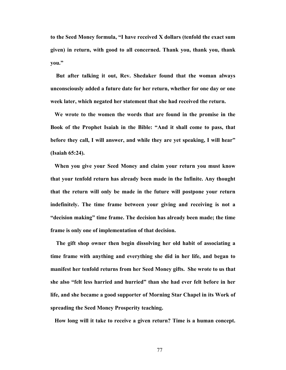**to the Seed Money formula, "I have received X dollars (tenfold the exact sum given) in return, with good to all concerned. Thank you, thank you, thank you."** 

**But after talking it out, Rev. Shedaker found that the woman always unconsciously added a future date for her return, whether for one day or one week later, which negated her statement that she had received the return.** 

**We wrote to the women the words that are found in the promise in the Book of the Prophet Isaiah in the Bible: "And it shall come to pass, that before they call, I will answer, and while they are yet speaking, I will hear" (Isaiah 65:24).** 

**When you give your Seed Money and claim your return you must know that your tenfold return has already been made in the Infinite. Any thought that the return will only be made in the future will postpone your return indefinitely. The time frame between your giving and receiving is not a "decision making" time frame. The decision has already been made; the time frame is only one of implementation of that decision.** 

 **The gift shop owner then begin dissolving her old habit of associating a time frame with anything and everything she did in her life, and began to manifest her tenfold returns from her Seed Money gifts. She wrote to us that she also "felt less harried and hurried" than she had ever felt before in her life, and she became a good supporter of Morning Star Chapel in its Work of spreading the Seed Money Prosperity teaching.** 

**How long will it take to receive a given return? Time is a human concept.**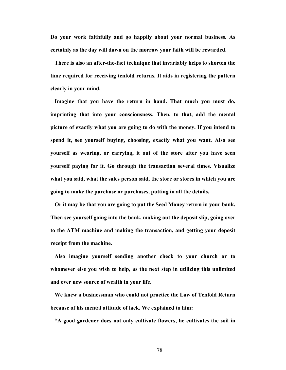**Do your work faithfully and go happily about your normal business. As certainly as the day will dawn on the morrow your faith will be rewarded.** 

 **There is also an after-the-fact technique that invariably helps to shorten the time required for receiving tenfold returns. It aids in registering the pattern clearly in your mind.** 

**Imagine that you have the return in hand. That much you must do, imprinting that into your consciousness. Then, to that, add the mental picture of exactly what you are going to do with the money. If you intend to spend it, see yourself buying, choosing, exactly what you want. Also see yourself as wearing, or carrying, it out of the store after you have seen yourself paying for it. Go through the transaction several times. Visualize what you said, what the sales person said, the store or stores in which you are going to make the purchase or purchases, putting in all the details.** 

 **Or it may be that you are going to put the Seed Money return in your bank. Then see yourself going into the bank, making out the deposit slip, going over to the ATM machine and making the transaction, and getting your deposit receipt from the machine.** 

**Also imagine yourself sending another check to your church or to whomever else you wish to help, as the next step in utilizing this unlimited and ever new source of wealth in your life.** 

 **We knew a businessman who could not practice the Law of Tenfold Return because of his mental attitude of lack. We explained to him:** 

**"A good gardener does not only cultivate flowers, he cultivates the soil in**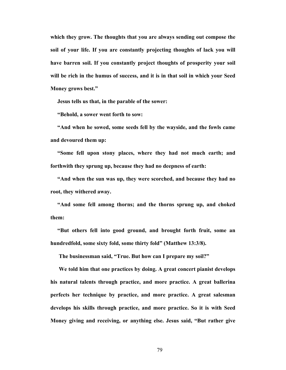**which they grow. The thoughts that you are always sending out compose the soil of your life. If you are constantly projecting thoughts of lack you will have barren soil. If you constantly project thoughts of prosperity your soil will be rich in the humus of success, and it is in that soil in which your Seed Money grows best."** 

 **Jesus tells us that, in the parable of the sower:** 

 **"Behold, a sower went forth to sow:**

 **"And when he sowed, some seeds fell by the wayside, and the fowls came and devoured them up:** 

**"Some fell upon stony places, where they had not much earth; and forthwith they sprung up, because they had no deepness of earth:** 

 **"And when the sun was up, they were scorched, and because they had no root, they withered away.** 

 **"And some fell among thorns; and the thorns sprung up, and choked them:** 

 **"But others fell into good ground, and brought forth fruit, some an hundredfold, some sixty fold, some thirty fold" (Matthew 13:3/8).** 

 **The businessman said, "True. But how can I prepare my soil?"** 

 **We told him that one practices by doing. A great concert pianist develops his natural talents through practice, and more practice. A great ballerina perfects her technique by practice, and more practice. A great salesman develops his skills through practice, and more practice. So it is with Seed Money giving and receiving, or anything else. Jesus said, "But rather give**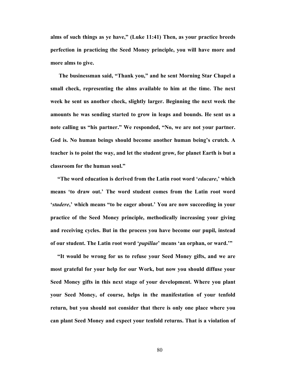**alms of such things as ye have," (Luke 11:41) Then, as your practice breeds perfection in practicing the Seed Money principle, you will have more and more alms to give.** 

 **The businessman said, "Thank you," and he sent Morning Star Chapel a small check, representing the alms available to him at the time. The next week he sent us another check, slightly larger. Beginning the next week the amounts he was sending started to grow in leaps and bounds. He sent us a note calling us "his partner." We responded, "No, we are not your partner. God is. No human beings should become another human being's crutch. A teacher is to point the way, and let the student grow, for planet Earth is but a classroom for the human soul."** 

 **"The word education is derived from the Latin root word '***educare***,' which means 'to draw out.' The word student comes from the Latin root word '***studere***,' which means "to be eager about.' You are now succeeding in your practice of the Seed Money principle, methodically increasing your giving and receiving cycles. But in the process you have become our pupil, instead of our student. The Latin root word '***pupillae***' means 'an orphan, or ward.'"** 

 **"It would be wrong for us to refuse your Seed Money gifts, and we are most grateful for your help for our Work, but now you should diffuse your Seed Money gifts in this next stage of your development. Where you plant your Seed Money, of course, helps in the manifestation of your tenfold return, but you should not consider that there is only one place where you can plant Seed Money and expect your tenfold returns. That is a violation of**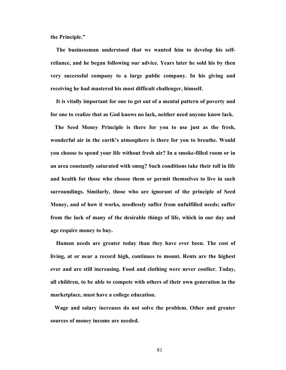**the Principle."** 

 **The businessman understood that we wanted him to develop his selfreliance, and he began following our advice. Years later he sold his by then very successful company to a large public company. In his giving and receiving he had mastered his most difficult challenger, himself.** 

**It is vitally important for one to get out of a mental pattern of poverty and for one to realize that as God knows no lack, neither need anyone know lack.** 

**The Seed Money Principle is there for you to use just as the fresh, wonderful air in the earth's atmosphere is there for you to breathe. Would you choose to spend your life without fresh air? In a smoke-filled room or in an area constantly saturated with smog? Such conditions take their toll in life and health for those who choose them or permit themselves to live in such surroundings. Similarly, those who are ignorant of the principle of Seed Money, and of how it works, needlessly suffer from unfulfilled needs; suffer from the lack of many of the desirable things of life, which in our day and age require money to buy.** 

**Human needs are greater today than they have ever been. The cost of living, at or near a record high, continues to mount. Rents are the highest ever and are still increasing. Food and clothing were never costlier. Today, all children, to be able to compete with others of their own generation in the marketplace, must have a college education.** 

**Wage and salary increases do not solve the problem. Other and greater sources of money income are needed.**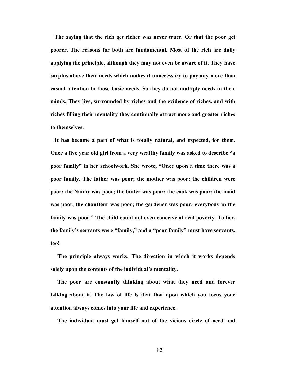**The saying that the rich get richer was never truer. Or that the poor get poorer. The reasons for both are fundamental. Most of the rich are daily applying the principle, although they may not even be aware of it. They have surplus above their needs which makes it unnecessary to pay any more than casual attention to those basic needs. So they do not multiply needs in their minds. They live, surrounded by riches and the evidence of riches, and with riches filling their mentality they continually attract more and greater riches to themselves.** 

**It has become a part of what is totally natural, and expected, for them. Once a five year old girl from a very wealthy family was asked to describe "a poor family" in her schoolwork. She wrote, "Once upon a time there was a poor family. The father was poor; the mother was poor; the children were poor; the Nanny was poor; the butler was poor; the cook was poor; the maid was poor, the chauffeur was poor; the gardener was poor; everybody in the family was poor." The child could not even conceive of real poverty. To her, the family's servants were "family," and a "poor family" must have servants, too!** 

 **The principle always works. The direction in which it works depends solely upon the contents of the individual's mentality.** 

 **The poor are constantly thinking about what they need and forever talking about it. The law of life is that that upon which you focus your attention always comes into your life and experience.** 

 **The individual must get himself out of the vicious circle of need and**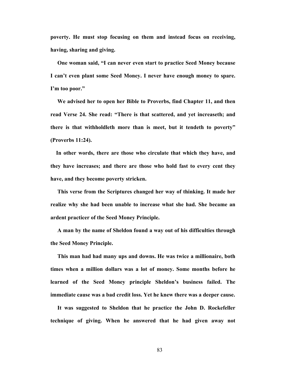**poverty. He must stop focusing on them and instead focus on receiving, having, sharing and giving.** 

**One woman said, "I can never even start to practice Seed Money because I can't even plant some Seed Money. I never have enough money to spare. I'm too poor."** 

**We advised her to open her Bible to Proverbs, find Chapter 11, and then read Verse 24. She read: "There is that scattered, and yet increaseth; and there is that withholdleth more than is meet, but it tendeth to poverty" (Proverbs 11:24).** 

**In other words, there are those who circulate that which they have, and they have increases; and there are those who hold fast to every cent they have, and they become poverty stricken.** 

 **This verse from the Scriptures changed her way of thinking. It made her realize why she had been unable to increase what she had. She became an ardent practicer of the Seed Money Principle.** 

 **A man by the name of Sheldon found a way out of his difficulties through the Seed Money Principle.** 

 **This man had had many ups and downs. He was twice a millionaire, both times when a million dollars was a lot of money. Some months before he learned of the Seed Money principle Sheldon's business failed. The immediate cause was a bad credit loss. Yet he knew there was a deeper cause.** 

 **It was suggested to Sheldon that he practice the John D. Rockefeller technique of giving. When he answered that he had given away not**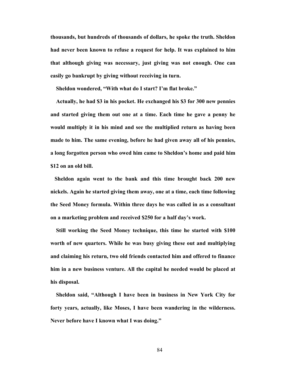**thousands, but hundreds of thousands of dollars, he spoke the truth. Sheldon had never been known to refuse a request for help. It was explained to him that although giving was necessary, just giving was not enough. One can easily go bankrupt by giving without receiving in turn.** 

 **Sheldon wondered, "With what do I start? I'm flat broke."** 

**Actually, he had \$3 in his pocket. He exchanged his \$3 for 300 new pennies and started giving them out one at a time. Each time he gave a penny he would multiply it in his mind and see the multiplied return as having been made to him. The same evening, before he had given away all of his pennies, a long forgotten person who owed him came to Sheldon's home and paid him \$12 on an old bill.** 

**Sheldon again went to the bank and this time brought back 200 new nickels. Again he started giving them away, one at a time, each time following the Seed Money formula. Within three days he was called in as a consultant on a marketing problem and received \$250 for a half day's work.** 

**Still working the Seed Money technique, this time he started with \$100 worth of new quarters. While he was busy giving these out and multiplying and claiming his return, two old friends contacted him and offered to finance him in a new business venture. All the capital he needed would be placed at his disposal.** 

 **Sheldon said, "Although I have been in business in New York City for forty years, actually, like Moses, I have been wandering in the wilderness. Never before have I known what I was doing."**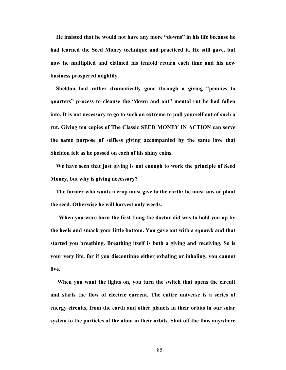**He insisted that he would not have any more "downs" in his life because he had learned the Seed Money technique and practiced it. He still gave, but now he multiplied and claimed his tenfold return each time and his new business prospered mightily.** 

 **Sheldon had rather dramatically gone through a giving "pennies to quarters" process to cleanse the "down and out" mental rut he had fallen into. It is not necessary to go to such an extreme to pull yourself out of such a rut. Giving ten copies of The Classic SEED MONEY IN ACTION can serve the same purpose of selfless giving accompanied by the same love that Sheldon felt as he passed on each of his shiny coins.** 

**We have seen that just giving is not enough to work the principle of Seed Money, but why is giving necessary?** 

**The farmer who wants a crop must give to the earth; he must sow or plant the seed. Otherwise he will harvest only weeds.** 

 **When you were born the first thing the doctor did was to hold you up by the heels and smack your little bottom. You gave out with a squawk and that started you breathing. Breathing itself is both a giving and receiving. So is your very life, for if you discontinue either exhaling or inhaling, you cannot live.** 

 **When you want the lights on, you turn the switch that opens the circuit and starts the flow of electric current. The entire universe is a series of energy circuits, from the earth and other planets in their orbits in our solar system to the particles of the atom in their orbits. Shut off the flow anywhere**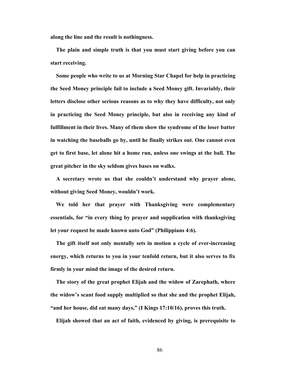**along the line and the result is nothingness.** 

 **The plain and simple truth is that you must start giving before you can start receiving.** 

 **Some people who write to us at Morning Star Chapel for help in practicing the Seed Money principle fail to include a Seed Money gift. Invariably, their letters disclose other serious reasons as to why they have difficulty, not only in practicing the Seed Money principle, but also in receiving any kind of fulfillment in their lives. Many of them show the syndrome of the loser batter in watching the baseballs go by, until he finally strikes out. One cannot even get to first base, let alone hit a home run, unless one swings at the ball. The great pitcher in the sky seldom gives bases on walks.** 

**A secretary wrote us that she couldn't understand why prayer alone, without giving Seed Money, wouldn't work.** 

 **We told her that prayer with Thanksgiving were complementary essentials, for "in every thing by prayer and supplication with thanksgiving let your request be made known unto God" (Philippians 4:6).** 

 **The gift itself not only mentally sets in motion a cycle of ever-increasing energy, which returns to you in your tenfold return, but it also serves to fix firmly in your mind the image of the desired return.** 

**The story of the great prophet Elijah and the widow of Zarephath, where the widow's scant food supply multiplied so that she and the prophet Elijah, "and her house, did eat many days," (I Kings 17:10/16), proves this truth.** 

**Elijah showed that an act of faith, evidenced by giving, is prerequisite to**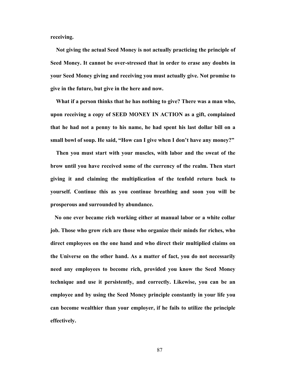**receiving.** 

 **Not giving the actual Seed Money is not actually practicing the principle of Seed Money. It cannot be over-stressed that in order to erase any doubts in your Seed Money giving and receiving you must actually give. Not promise to give in the future, but give in the here and now.**

**What if a person thinks that he has nothing to give? There was a man who, upon receiving a copy of SEED MONEY IN ACTION as a gift, complained that he had not a penny to his name, he had spent his last dollar bill on a small bowl of soup. He said, "How can I give when I don't have any money?"** 

**Then you must start with your muscles, with labor and the sweat of the brow until you have received some of the currency of the realm. Then start giving it and claiming the multiplication of the tenfold return back to yourself. Continue this as you continue breathing and soon you will be prosperous and surrounded by abundance.** 

**No one ever became rich working either at manual labor or a white collar job. Those who grow rich are those who organize their minds for riches, who direct employees on the one hand and who direct their multiplied claims on the Universe on the other hand. As a matter of fact, you do not necessarily need any employees to become rich, provided you know the Seed Money technique and use it persistently, and correctly. Likewise, you can be an employee and by using the Seed Money principle constantly in your life you can become wealthier than your employer, if he fails to utilize the principle effectively.**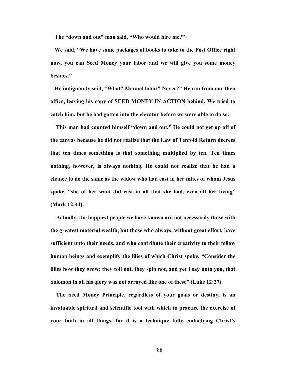**The "down and out" man said, "Who would hire me?"** 

**We said, "We have some packages of books to take to the Post Office right now, you can Seed Money your labor and we will give you some money besides."** 

**He indignantly said, "What? Manual labor? Never?" He ran from our then office, leaving his copy of SEED MONEY IN ACTION behind. We tried to catch him, but he had gotten into the elevator before we were able to do so.** 

**This man had counted himself "down and out." He could not get up off of the canvas because he did not realize that the Law of Tenfold Return decrees that ten times something is that something multiplied by ten. Ten times nothing, however, is always nothing. He could not realize that he had a chance to do the same as the widow who had cast in her mites of whom Jesus spoke, "she of her want did cast in all that she had, even all her living" (Mark 12:44).** 

 **Actually, the happiest people we have known are not necessarily those with the greatest material wealth, but those who always, without great effort, have sufficient unto their needs, and who contribute their creativity to their fellow human beings and exemplify the lilies of which Christ spoke, "Consider the lilies how they grow: they toil not, they spin not, and yet I say unto you, that Solomon in all his glory was not arrayed like one of these" (Luke 12:27).** 

 **The Seed Money Principle, regardless of your goals or destiny, is an invaluable spiritual and scientific tool with which to practice the exercise of your faith in all things, for it is a technique fully embodying Christ's**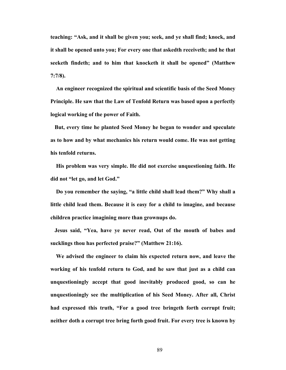**teaching: "Ask, and it shall be given you; seek, and ye shall find; knock, and it shall be opened unto you; For every one that askedth receiveth; and he that seeketh findeth; and to him that knocketh it shall be opened" (Matthew 7:7/8).** 

 **An engineer recognized the spiritual and scientific basis of the Seed Money Principle. He saw that the Law of Tenfold Return was based upon a perfectly logical working of the power of Faith.** 

**But, every time he planted Seed Money he began to wonder and speculate as to how and by what mechanics his return would come. He was not getting his tenfold returns.** 

**His problem was very simple. He did not exercise unquestioning faith. He did not "let go, and let God."** 

**Do you remember the saying, "a little child shall lead them?" Why shall a little child lead them. Because it is easy for a child to imagine, and because children practice imagining more than grownups do.** 

**Jesus said, "Yea, have ye never read, Out of the mouth of babes and sucklings thou has perfected praise?" (Matthew 21:16).** 

**We advised the engineer to claim his expected return now, and leave the working of his tenfold return to God, and he saw that just as a child can unquestioningly accept that good inevitably produced good, so can he unquestioningly see the multiplication of his Seed Money. After all, Christ had expressed this truth, "For a good tree bringeth forth corrupt fruit; neither doth a corrupt tree bring forth good fruit. For every tree is known by**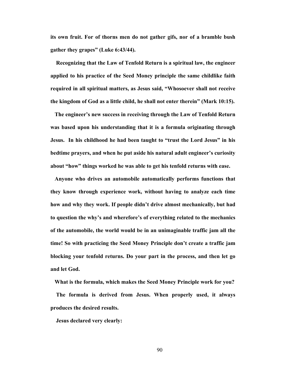**its own fruit. For of thorns men do not gather gifs, nor of a bramble bush gather they grapes" (Luke 6:43/44).** 

 **Recognizing that the Law of Tenfold Return is a spiritual law, the engineer applied to his practice of the Seed Money principle the same childlike faith required in all spiritual matters, as Jesus said, "Whosoever shall not receive the kingdom of God as a little child, he shall not enter therein" (Mark 10:15).** 

 **The engineer's new success in receiving through the Law of Tenfold Return was based upon his understanding that it is a formula originating through Jesus. In his childhood he had been taught to "trust the Lord Jesus" in his bedtime prayers, and when he put aside his natural adult engineer's curiosity about "how" things worked he was able to get his tenfold returns with ease.** 

**Anyone who drives an automobile automatically performs functions that they know through experience work, without having to analyze each time how and why they work. If people didn't drive almost mechanically, but had to question the why's and wherefore's of everything related to the mechanics of the automobile, the world would be in an unimaginable traffic jam all the time! So with practicing the Seed Money Principle don't create a traffic jam blocking your tenfold returns. Do your part in the process, and then let go and let God.** 

 **What is the formula, which makes the Seed Money Principle work for you? The formula is derived from Jesus. When properly used, it always produces the desired results.** 

 **Jesus declared very clearly:**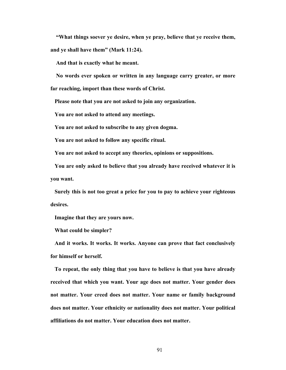**"What things soever ye desire, when ye pray, believe that ye receive them, and ye shall have them" (Mark 11:24).** 

 **And that is exactly what he meant.** 

**No words ever spoken or written in any language carry greater, or more** 

**far reaching, import than these words of Christ.** 

 **Please note that you are not asked to join any organization.** 

 **You are not asked to attend any meetings.** 

 **You are not asked to subscribe to any given dogma.** 

 **You are not asked to follow any specific ritual.** 

 **You are not asked to accept any theories, opinions or suppositions.** 

**You are only asked to believe that you already have received whatever it is you want.** 

**Surely this is not too great a price for you to pay to achieve your righteous desires.** 

 **Imagine that they are yours now.**

 **What could be simpler?** 

**And it works. It works. It works. Anyone can prove that fact conclusively for himself or herself.** 

**To repeat, the only thing that you have to believe is that you have already received that which you want. Your age does not matter. Your gender does not matter. Your creed does not matter. Your name or family background does not matter. Your ethnicity or nationality does not matter. Your political affiliations do not matter. Your education does not matter.**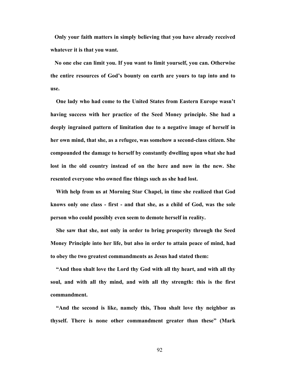**Only your faith matters in simply believing that you have already received whatever it is that you want.** 

**No one else can limit you. If you want to limit yourself, you can. Otherwise the entire resources of God's bounty on earth are yours to tap into and to use.** 

**One lady who had come to the United States from Eastern Europe wasn't having success with her practice of the Seed Money principle. She had a deeply ingrained pattern of limitation due to a negative image of herself in her own mind, that she, as a refugee, was somehow a second-class citizen. She compounded the damage to herself by constantly dwelling upon what she had lost in the old country instead of on the here and now in the new. She resented everyone who owned fine things such as she had lost.** 

 **With help from us at Morning Star Chapel, in time she realized that God knows only one class - first - and that she, as a child of God, was the sole person who could possibly even seem to demote herself in reality.** 

**She saw that she, not only in order to bring prosperity through the Seed Money Principle into her life, but also in order to attain peace of mind, had to obey the two greatest commandments as Jesus had stated them:** 

**"And thou shalt love the Lord thy God with all thy heart, and with all thy soul, and with all thy mind, and with all thy strength: this is the first commandment.** 

**"And the second is like, namely this, Thou shalt love thy neighbor as thyself. There is none other commandment greater than these" (Mark**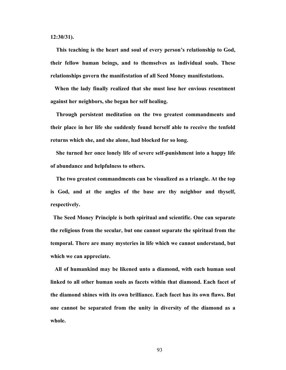**12:30/31).** 

**This teaching is the heart and soul of every person's relationship to God, their fellow human beings, and to themselves as individual souls. These relationships govern the manifestation of all Seed Money manifestations.** 

**When the lady finally realized that she must lose her envious resentment against her neighbors, she began her self healing.** 

 **Through persistent meditation on the two greatest commandments and their place in her life she suddenly found herself able to receive the tenfold returns which she, and she alone, had blocked for so long.** 

 **She turned her once lonely life of severe self-punishment into a happy life of abundance and helpfulness to others.** 

**The two greatest commandments can be visualized as a triangle. At the top is God, and at the angles of the base are thy neighbor and thyself, respectively.** 

**The Seed Money Principle is both spiritual and scientific. One can separate the religious from the secular, but one cannot separate the spiritual from the temporal. There are many mysteries in life which we cannot understand, but which we can appreciate.** 

**All of humankind may be likened unto a diamond, with each human soul linked to all other human souls as facets within that diamond. Each facet of the diamond shines with its own brilliance. Each facet has its own flaws. But one cannot be separated from the unity in diversity of the diamond as a whole.**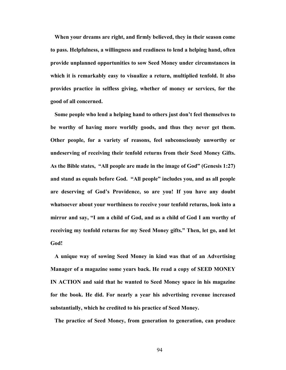**When your dreams are right, and firmly believed, they in their season come to pass. Helpfulness, a willingness and readiness to lend a helping hand, often provide unplanned opportunities to sow Seed Money under circumstances in which it is remarkably easy to visualize a return, multiplied tenfold. It also provides practice in selfless giving, whether of money or services, for the good of all concerned.** 

**Some people who lend a helping hand to others just don't feel themselves to be worthy of having more worldly goods, and thus they never get them. Other people, for a variety of reasons, feel subconsciously unworthy or undeserving of receiving their tenfold returns from their Seed Money Gifts. As the Bible states, "All people are made in the image of God" (Genesis 1:27) and stand as equals before God. "All people" includes you, and as all people are deserving of God's Providence, so are you! If you have any doubt whatsoever about your worthiness to receive your tenfold returns, look into a mirror and say, "I am a child of God, and as a child of God I am worthy of receiving my tenfold returns for my Seed Money gifts." Then, let go, and let God!** 

**A unique way of sowing Seed Money in kind was that of an Advertising Manager of a magazine some years back. He read a copy of SEED MONEY IN ACTION and said that he wanted to Seed Money space in his magazine for the book. He did. For nearly a year his advertising revenue increased substantially, which he credited to his practice of Seed Money.** 

**The practice of Seed Money, from generation to generation, can produce**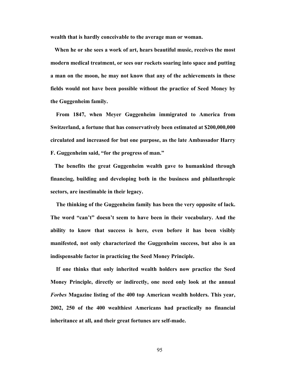**wealth that is hardly conceivable to the average man or woman.** 

**When he or she sees a work of art, hears beautiful music, receives the most modern medical treatment, or sees our rockets soaring into space and putting a man on the moon, he may not know that any of the achievements in these fields would not have been possible without the practice of Seed Money by the Guggenheim family.** 

 **From 1847, when Meyer Guggenheim immigrated to America from Switzerland, a fortune that has conservatively been estimated at \$200,000,000 circulated and increased for but one purpose, as the late Ambassador Harry F. Guggenheim said, "for the progress of man."** 

**The benefits the great Guggenheim wealth gave to humankind through financing, building and developing both in the business and philanthropic sectors, are inestimable in their legacy.** 

**The thinking of the Guggenheim family has been the very opposite of lack. The word "can't" doesn't seem to have been in their vocabulary. And the ability to know that success is here, even before it has been visibly manifested, not only characterized the Guggenheim success, but also is an indispensable factor in practicing the Seed Money Principle.** 

**If one thinks that only inherited wealth holders now practice the Seed Money Principle, directly or indirectly, one need only look at the annual**  *Forbes* **Magazine listing of the 400 top American wealth holders. This year, 2002, 250 of the 400 wealthiest Americans had practically no financial inheritance at all, and their great fortunes are self-made.**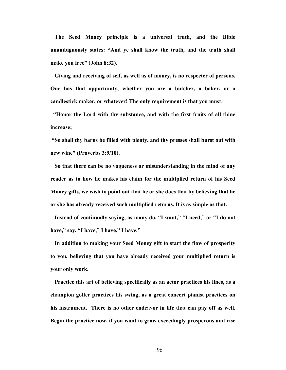**The Seed Money principle is a universal truth, and the Bible unambiguously states: "And ye shall know the truth, and the truth shall make you free" (John 8:32).** 

**Giving and receiving of self, as well as of money, is no respecter of persons. One has that opportunity, whether you are a butcher, a baker, or a candlestick maker, or whatever! The only requirement is that you must:** 

**"Honor the Lord with thy substance, and with the first fruits of all thine increase;** 

**"So shall thy barns be filled with plenty, and thy presses shall burst out with new wine" (Proverbs 3:9/10).** 

**So that there can be no vagueness or misunderstanding in the mind of any reader as to how he makes his claim for the multiplied return of his Seed Money gifts, we wish to point out that he or she does that by believing that he or she has already received such multiplied returns. It is as simple as that.** 

**Instead of continually saying, as many do, "I want," "I need," or "I do not have," say, "I have," I have," I have."** 

**In addition to making your Seed Money gift to start the flow of prosperity to you, believing that you have already received your multiplied return is your only work.** 

**Practice this art of believing specifically as an actor practices his lines, as a champion golfer practices his swing, as a great concert pianist practices on his instrument. There is no other endeavor in life that can pay off as well. Begin the practice now, if you want to grow exceedingly prosperous and rise**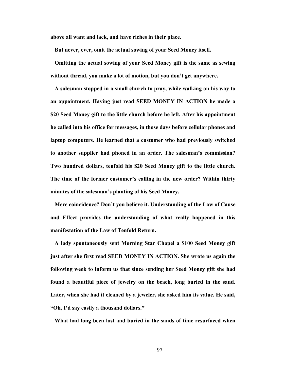**above all want and lack, and have riches in their place.** 

 **But never, ever, omit the actual sowing of your Seed Money itself.** 

**Omitting the actual sowing of your Seed Money gift is the same as sewing without thread, you make a lot of motion, but you don't get anywhere.** 

**A salesman stopped in a small church to pray, while walking on his way to an appointment. Having just read SEED MONEY IN ACTION he made a \$20 Seed Money gift to the little church before he left. After his appointment he called into his office for messages, in those days before cellular phones and laptop computers. He learned that a customer who had previously switched to another supplier had phoned in an order. The salesman's commission? Two hundred dollars, tenfold his \$20 Seed Money gift to the little church. The time of the former customer's calling in the new order? Within thirty minutes of the salesman's planting of his Seed Money.** 

 **Mere coincidence? Don't you believe it. Understanding of the Law of Cause and Effect provides the understanding of what really happened in this manifestation of the Law of Tenfold Return.** 

**A lady spontaneously sent Morning Star Chapel a \$100 Seed Money gift just after she first read SEED MONEY IN ACTION. She wrote us again the following week to inform us that since sending her Seed Money gift she had found a beautiful piece of jewelry on the beach, long buried in the sand. Later, when she had it cleaned by a jeweler, she asked him its value. He said, "Oh, I'd say easily a thousand dollars."** 

**What had long been lost and buried in the sands of time resurfaced when**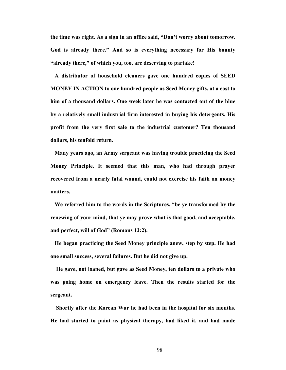**the time was right. As a sign in an office said, "Don't worry about tomorrow. God is already there." And so is everything necessary for His bounty "already there," of which you, too, are deserving to partake!** 

 **A distributor of household cleaners gave one hundred copies of SEED MONEY IN ACTION to one hundred people as Seed Money gifts, at a cost to him of a thousand dollars. One week later he was contacted out of the blue by a relatively small industrial firm interested in buying his detergents. His profit from the very first sale to the industrial customer? Ten thousand dollars, his tenfold return.** 

**Many years ago, an Army sergeant was having trouble practicing the Seed Money Principle. It seemed that this man, who had through prayer recovered from a nearly fatal wound, could not exercise his faith on money matters.** 

**We referred him to the words in the Scriptures, "be ye transformed by the renewing of your mind, that ye may prove what is that good, and acceptable, and perfect, will of God" (Romans 12:2).** 

**He began practicing the Seed Money principle anew, step by step. He had one small success, several failures. But he did not give up.** 

**He gave, not loaned, but gave as Seed Money, ten dollars to a private who was going home on emergency leave. Then the results started for the sergeant.** 

**Shortly after the Korean War he had been in the hospital for six months. He had started to paint as physical therapy, had liked it, and had made**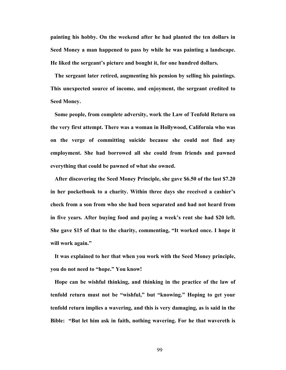**painting his hobby. On the weekend after he had planted the ten dollars in Seed Money a man happened to pass by while he was painting a landscape. He liked the sergeant's picture and bought it, for one hundred dollars.** 

**The sergeant later retired, augmenting his pension by selling his paintings. This unexpected source of income, and enjoyment, the sergeant credited to Seed Money.** 

**Some people, from complete adversity, work the Law of Tenfold Return on the very first attempt. There was a woman in Hollywood, California who was on the verge of committing suicide because she could not find any employment. She had borrowed all she could from friends and pawned everything that could be pawned of what she owned.** 

**After discovering the Seed Money Principle, she gave \$6.50 of the last \$7.20 in her pocketbook to a charity. Within three days she received a cashier's check from a son from who she had been separated and had not heard from in five years. After buying food and paying a week's rent she had \$20 left. She gave \$15 of that to the charity, commenting, "It worked once. I hope it will work again."** 

**It was explained to her that when you work with the Seed Money principle, you do not need to "hope." You know!** 

**Hope can be wishful thinking, and thinking in the practice of the law of tenfold return must not be "wishful," but "knowing." Hoping to get your tenfold return implies a wavering, and this is very damaging, as is said in the Bible: "But let him ask in faith, nothing wavering. For he that wavereth is**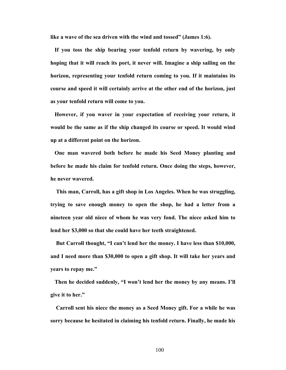**like a wave of the sea driven with the wind and tossed" (James 1:6).** 

**If you toss the ship bearing your tenfold return by wavering, by only hoping that it will reach its port, it never will. Imagine a ship sailing on the horizon, representing your tenfold return coming to you. If it maintains its course and speed it will certainly arrive at the other end of the horizon, just as your tenfold return will come to you.** 

**However, if you waver in your expectation of receiving your return, it would be the same as if the ship changed its course or speed. It would wind up at a different point on the horizon.** 

**One man wavered both before he made his Seed Money planting and before he made his claim for tenfold return. Once doing the steps, however, he never wavered.** 

**This man, Carroll, has a gift shop in Los Angeles. When he was struggling, trying to save enough money to open the shop, he had a letter from a nineteen year old niece of whom he was very fond. The niece asked him to lend her \$3,000 so that she could have her teeth straightened.** 

 **But Carroll thought, "I can't lend her the money. I have less than \$10,000, and I need more than \$30,000 to open a gift shop. It will take her years and years to repay me."** 

**Then he decided suddenly, "I won't lend her the money by any means. I'll give it to her."** 

**Carroll sent his niece the money as a Seed Money gift. For a while he was sorry because he hesitated in claiming his tenfold return. Finally, he made his**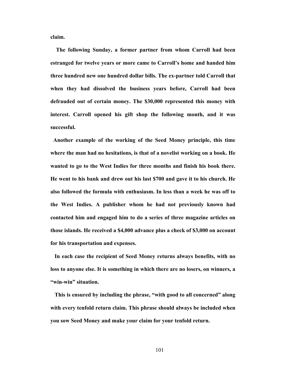**claim.** 

**The following Sunday, a former partner from whom Carroll had been estranged for twelve years or more came to Carroll's home and handed him three hundred new one hundred dollar bills. The ex-partner told Carroll that when they had dissolved the business years before, Carroll had been defrauded out of certain money. The \$30,000 represented this money with interest. Carroll opened his gift shop the following month, and it was successful.** 

**Another example of the working of the Seed Money principle, this time where the man had no hesitations, is that of a novelist working on a book. He wanted to go to the West Indies for three months and finish his book there. He went to his bank and drew out his last \$700 and gave it to his church. He also followed the formula with enthusiasm. In less than a week he was off to the West Indies. A publisher whom he had not previously known had contacted him and engaged him to do a series of three magazine articles on those islands. He received a \$4,000 advance plus a check of \$3,000 on account for his transportation and expenses.** 

 **In each case the recipient of Seed Money returns always benefits, with no loss to anyone else. It is something in which there are no losers, on winners, a "win-win" situation.** 

**This is ensured by including the phrase, "with good to all concerned" along with every tenfold return claim. This phrase should always be included when you sow Seed Money and make your claim for your tenfold return.**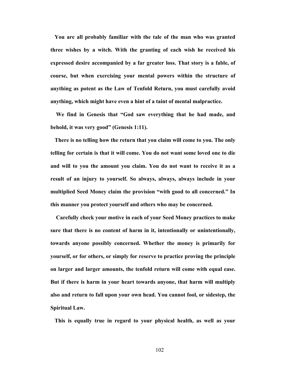**You are all probably familiar with the tale of the man who was granted three wishes by a witch. With the granting of each wish he received his expressed desire accompanied by a far greater loss. That story is a fable, of course, but when exercising your mental powers within the structure of anything as potent as the Law of Tenfold Return, you must carefully avoid anything, which might have even a hint of a taint of mental malpractice.** 

 **We find in Genesis that "God saw everything that he had made, and behold, it was very good" (Genesis 1:11).** 

**There is no telling how the return that you claim will come to you. The only telling for certain is that it will come. You do not want some loved one to die and will to you the amount you claim. You do not want to receive it as a result of an injury to yourself. So always, always, always include in your multiplied Seed Money claim the provision "with good to all concerned." In this manner you protect yourself and others who may be concerned.** 

 **Carefully check your motive in each of your Seed Money practices to make sure that there is no content of harm in it, intentionally or unintentionally, towards anyone possibly concerned. Whether the money is primarily for yourself, or for others, or simply for reserve to practice proving the principle on larger and larger amounts, the tenfold return will come with equal ease. But if there is harm in your heart towards anyone, that harm will multiply also and return to fall upon your own head. You cannot fool, or sidestep, the Spiritual Law.**

**This is equally true in regard to your physical health, as well as your**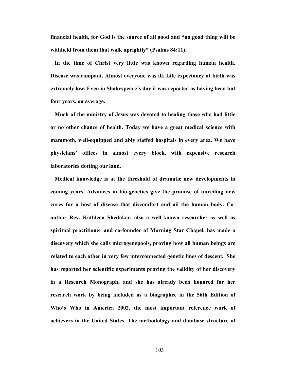**financial health, for God is the source of all good and "no good thing will be withheld from them that walk uprightly" (Psalms 84:11).** 

**In the time of Christ very little was known regarding human health. Disease was rampant. Almost everyone was ill. Life expectancy at birth was extremely low. Even in Shakespeare's day it was reported as having been but four years, on average.** 

**Much of the ministry of Jesus was devoted to healing those who had little or no other chance of health. Today we have a great medical science with mammoth, well-equipped and ably staffed hospitals in every area. We have physicians' offices in almost every block, with expensive research laboratories dotting our land.** 

**Medical knowledge is at the threshold of dramatic new developments in coming years. Advances in bio-genetics give the promise of unveiling new cures for a host of disease that discomfort and ail the human body. Coauthor Rev. Kathleen Shedaker, also a well-known researcher as well as spiritual practitioner and co-founder of Morning Star Chapel, has made a discovery which she calls microgenepools, proving how all human beings are related to each other in very few interconnected genetic lines of descent. She has reported her scientific experiments proving the validity of her discovery in a Research Monograph, and she has already been honored for her research work by being included as a biographee in the 56th Edition of Who's Who in America 2002, the most important reference work of achievers in the United States. The methodology and database structure of**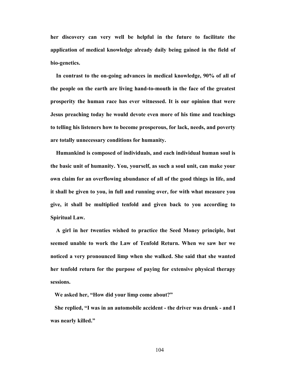**her discovery can very well be helpful in the future to facilitate the application of medical knowledge already daily being gained in the field of bio-genetics.** 

**In contrast to the on-going advances in medical knowledge, 90% of all of the people on the earth are living hand-to-mouth in the face of the greatest prosperity the human race has ever witnessed. It is our opinion that were Jesus preaching today he would devote even more of his time and teachings to telling his listeners how to become prosperous, for lack, needs, and poverty are totally unnecessary conditions for humanity.** 

 **Humankind is composed of individuals, and each individual human soul is the basic unit of humanity. You, yourself, as such a soul unit, can make your own claim for an overflowing abundance of all of the good things in life, and it shall be given to you, in full and running over, for with what measure you give, it shall be multiplied tenfold and given back to you according to Spiritual Law.**

**A girl in her twenties wished to practice the Seed Money principle, but seemed unable to work the Law of Tenfold Return. When we saw her we noticed a very pronounced limp when she walked. She said that she wanted her tenfold return for the purpose of paying for extensive physical therapy sessions.** 

 **We asked her, "How did your limp come about?"** 

 **She replied, "I was in an automobile accident - the driver was drunk - and I was nearly killed."**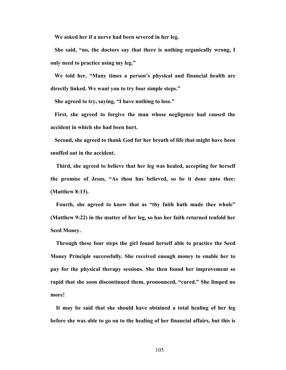**We asked her if a nerve had been severed in her leg.** 

**She said, "no, the doctors say that there is nothing organically wrong, I only need to practice using my leg."** 

**We told her, "Many times a person's physical and financial health are directly linked. We want you to try four simple steps."** 

 **She agreed to try, saying, "I have nothing to lose."** 

**First, she agreed to forgive the man whose negligence had caused the accident in which she had been hurt.** 

 **Second, she agreed to thank God for her breath of life that might have been snuffed out in the accident.** 

 **Third, she agreed to believe that her leg was healed, accepting for herself the promise of Jesus, "As thou has believed, so be it done unto thee: (Matthew 8:13).** 

**Fourth, she agreed to know that as "thy faith hath made thee whole" (Matthew 9:22) in the matter of her leg, so has her faith returned tenfold her Seed Money.** 

**Through these four steps the girl found herself able to practice the Seed Money Principle successfully. She received enough money to enable her to pay for the physical therapy sessions. She then found her improvement so rapid that she soon discontinued them, pronounced, "cured." She limped no more!** 

 **It may be said that she should have obtained a total healing of her leg before she was able to go on to the healing of her financial affairs, but this is**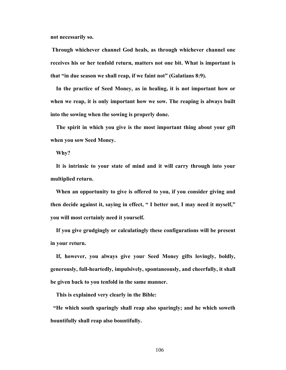**not necessarily so.** 

**Through whichever channel God heals, as through whichever channel one receives his or her tenfold return, matters not one bit. What is important is that "in due season we shall reap, if we faint not" (Galatians 8:9).** 

**In the practice of Seed Money, as in healing, it is not important how or when we reap, it is only important how we sow. The reaping is always built into the sowing when the sowing is properly done.** 

**The spirit in which you give is the most important thing about your gift when you sow Seed Money.** 

 **Why?** 

**It is intrinsic to your state of mind and it will carry through into your multiplied return.** 

**When an opportunity to give is offered to you, if you consider giving and then decide against it, saying in effect, " I better not, I may need it myself," you will most certainly need it yourself.** 

 **If you give grudgingly or calculatingly these configurations will be present in your return.** 

 **If, however, you always give your Seed Money gifts lovingly, boldly, generously, full-heartedly, impulsively, spontaneously, and cheerfully, it shall be given back to you tenfold in the same manner.** 

 **This is explained very clearly in the Bible:** 

**"He which south sparingly shall reap also sparingly; and he which soweth bountifully shall reap also bountifully.**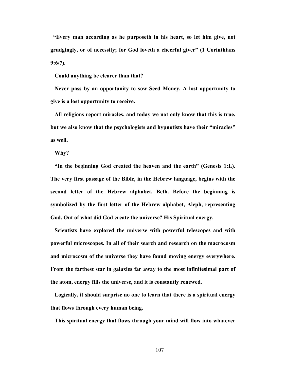**"Every man according as he purposeth in his heart, so let him give, not grudgingly, or of necessity; for God loveth a cheerful giver" (1 Corinthians 9:6/7).** 

 **Could anything be clearer than that?** 

**Never pass by an opportunity to sow Seed Money. A lost opportunity to give is a lost opportunity to receive.** 

**All religions report miracles, and today we not only know that this is true, but we also know that the psychologists and hypnotists have their "miracles" as well.** 

 **Why?** 

**"In the beginning God created the heaven and the earth" (Genesis 1:L). The very first passage of the Bible, in the Hebrew language, begins with the second letter of the Hebrew alphabet, Beth. Before the beginning is symbolized by the first letter of the Hebrew alphabet, Aleph, representing God. Out of what did God create the universe? His Spiritual energy.** 

**Scientists have explored the universe with powerful telescopes and with powerful microscopes. In all of their search and research on the macrocosm and microcosm of the universe they have found moving energy everywhere. From the farthest star in galaxies far away to the most infinitesimal part of the atom, energy fills the universe, and it is constantly renewed.** 

 **Logically, it should surprise no one to learn that there is a spiritual energy that flows through every human being.** 

**This spiritual energy that flows through your mind will flow into whatever**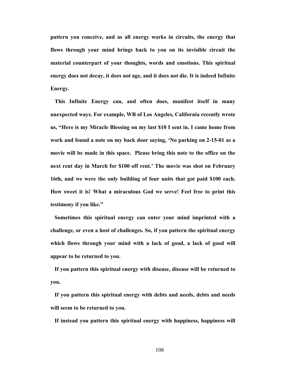**pattern you conceive, and as all energy works in circuits, the energy that flows through your mind brings back to you on its invisible circuit the material counterpart of your thoughts, words and emotions. This spiritual energy does not decay, it does not age, and it does not die. It is indeed Infinite Energy.** 

**This Infinite Energy can, and often does, manifest itself in many unexpected ways. For example, WB of Los Angeles, California recently wrote us, "Here is my Miracle Blessing on my last \$10 I sent in. I came home from work and found a note on my back door saying, 'No parking on 2-15-01 as a movie will be made in this space. Please bring this note to the office on the next rent day in March for \$100 off rent.' The movie was shot on February 16th, and we were the only building of four units that got paid \$100 each. How sweet it is! What a miraculous God we serve! Feel free to print this testimony if you like."** 

 **Sometimes this spiritual energy can enter your mind imprinted with a challenge, or even a host of challenges. So, if you pattern the spiritual energy which flows through your mind with a lack of good, a lack of good will appear to be returned to you.** 

**If you pattern this spiritual energy with disease, disease will be returned to you.** 

 **If you pattern this spiritual energy with debts and needs, debts and needs will seem to be returned to you.** 

**If instead you pattern this spiritual energy with happiness, happiness will**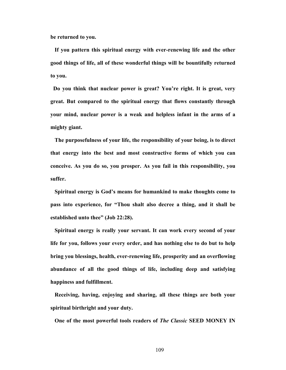**be returned to you.** 

**If you pattern this spiritual energy with ever-renewing life and the other good things of life, all of these wonderful things will be bountifully returned to you.** 

**Do you think that nuclear power is great? You're right. It is great, very great. But compared to the spiritual energy that flows constantly through your mind, nuclear power is a weak and helpless infant in the arms of a mighty giant.** 

**The purposefulness of your life, the responsibility of your being, is to direct that energy into the best and most constructive forms of which you can conceive. As you do so, you prosper. As you fail in this responsibility, you suffer.** 

**Spiritual energy is God's means for humankind to make thoughts come to pass into experience, for "Thou shalt also decree a thing, and it shall be established unto thee" (Job 22:28).** 

**Spiritual energy is really your servant. It can work every second of your life for you, follows your every order, and has nothing else to do but to help bring you blessings, health, ever-renewing life, prosperity and an overflowing abundance of all the good things of life, including deep and satisfying happiness and fulfillment.** 

 **Receiving, having, enjoying and sharing, all these things are both your spiritual birthright and your duty.** 

**One of the most powerful tools readers of** *The Classic* **SEED MONEY IN**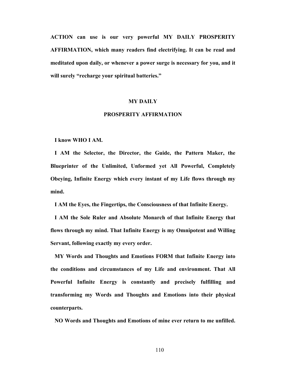**ACTION can use is our very powerful MY DAILY PROSPERITY AFFIRMATION, which many readers find electrifying. It can be read and meditated upon daily, or whenever a power surge is necessary for you, and it will surely "recharge your spiritual batteries."** 

### **MY DAILY**

## **PROSPERITY AFFIRMATION**

#### **I know WHO I AM.**

 **I AM the Selector, the Director, the Guide, the Pattern Maker, the Blueprinter of the Unlimited, Unformed yet All Powerful, Completely Obeying, Infinite Energy which every instant of my Life flows through my mind.** 

 **I AM the Eyes, the Fingertips, the Consciousness of that Infinite Energy.** 

**I AM the Sole Ruler and Absolute Monarch of that Infinite Energy that flows through my mind. That Infinite Energy is my Omnipotent and Willing Servant, following exactly my every order.** 

**MY Words and Thoughts and Emotions FORM that Infinite Energy into the conditions and circumstances of my Life and environment. That All Powerful Infinite Energy is constantly and precisely fulfilling and transforming my Words and Thoughts and Emotions into their physical counterparts.** 

 **NO Words and Thoughts and Emotions of mine ever return to me unfilled.**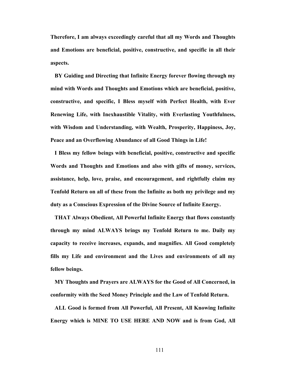**Therefore, I am always exceedingly careful that all my Words and Thoughts and Emotions are beneficial, positive, constructive, and specific in all their aspects.** 

**BY Guiding and Directing that Infinite Energy forever flowing through my mind with Words and Thoughts and Emotions which are beneficial, positive, constructive, and specific, I Bless myself with Perfect Health, with Ever Renewing Life, with Inexhaustible Vitality, with Everlasting Youthfulness, with Wisdom and Understanding, with Wealth, Prosperity, Happiness, Joy, Peace and an Overflowing Abundance of all Good Things in Life!** 

**I Bless my fellow beings with beneficial, positive, constructive and specific Words and Thoughts and Emotions and also with gifts of money, services, assistance, help, love, praise, and encouragement, and rightfully claim my Tenfold Return on all of these from the Infinite as both my privilege and my duty as a Conscious Expression of the Divine Source of Infinite Energy.** 

**THAT Always Obedient, All Powerful Infinite Energy that flows constantly through my mind ALWAYS brings my Tenfold Return to me. Daily my capacity to receive increases, expands, and magnifies. All Good completely fills my Life and environment and the Lives and environments of all my fellow beings.** 

 **MY Thoughts and Prayers are ALWAYS for the Good of All Concerned, in conformity with the Seed Money Principle and the Law of Tenfold Return.** 

**ALL Good is formed from All Powerful, All Present, All Knowing Infinite Energy which is MINE TO USE HERE AND NOW and is from God, All**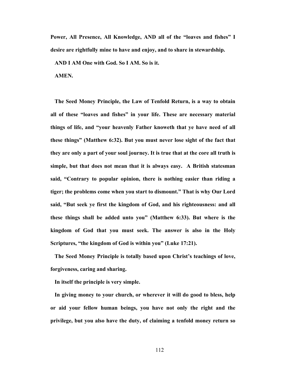**Power, All Presence, All Knowledge, AND all of the "loaves and fishes" I desire are rightfully mine to have and enjoy, and to share in stewardship.** 

 **AND I AM One with God. So I AM. So is it.** 

 **AMEN.** 

**The Seed Money Principle, the Law of Tenfold Return, is a way to obtain all of these "loaves and fishes" in your life. These are necessary material things of life, and "your heavenly Father knoweth that ye have need of all these things" (Matthew 6:32). But you must never lose sight of the fact that they are only a part of your soul journey. It is true that at the core all truth is simple, but that does not mean that it is always easy. A British statesman said, "Contrary to popular opinion, there is nothing easier than riding a tiger; the problems come when you start to dismount." That is why Our Lord said, "But seek ye first the kingdom of God, and his righteousness: and all these things shall be added unto you" (Matthew 6:33). But where is the kingdom of God that you must seek. The answer is also in the Holy Scriptures, "the kingdom of God is within you" (Luke 17:21).** 

**The Seed Money Principle is totally based upon Christ's teachings of love, forgiveness, caring and sharing.** 

 **In itself the principle is very simple.** 

**In giving money to your church, or wherever it will do good to bless, help or aid your fellow human beings, you have not only the right and the privilege, but you also have the duty, of claiming a tenfold money return so**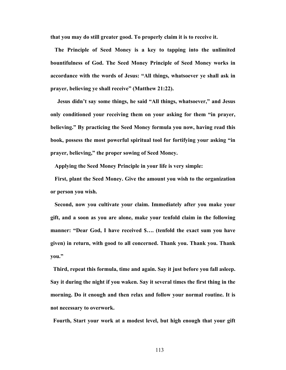**that you may do still greater good. To properly claim it is to receive it.** 

**The Principle of Seed Money is a key to tapping into the unlimited bountifulness of God. The Seed Money Principle of Seed Money works in accordance with the words of Jesus: "All things, whatsoever ye shall ask in prayer, believing ye shall receive" (Matthew 21:22).** 

 **Jesus didn't say some things, he said "All things, whatsoever," and Jesus only conditioned your receiving them on your asking for them "in prayer, believing." By practicing the Seed Money formula you now, having read this book, possess the most powerful spiritual tool for fortifying your asking "in prayer, believing," the proper sowing of Seed Money.** 

 **Applying the Seed Money Principle in your life is very simple:** 

**First, plant the Seed Money. Give the amount you wish to the organization or person you wish.** 

**Second, now you cultivate your claim. Immediately after you make your gift, and a soon as you are alone, make your tenfold claim in the following manner: "Dear God, I have received \$…. (tenfold the exact sum you have given) in return, with good to all concerned. Thank you. Thank you. Thank you."** 

**Third, repeat this formula, time and again. Say it just before you fall asleep. Say it during the night if you waken. Say it several times the first thing in the morning. Do it enough and then relax and follow your normal routine. It is not necessary to overwork.** 

**Fourth, Start your work at a modest level, but high enough that your gift**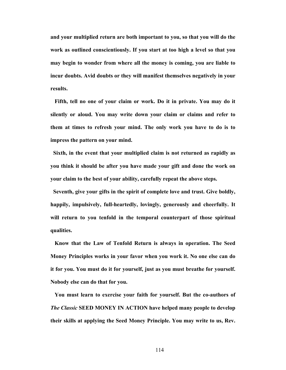**and your multiplied return are both important to you, so that you will do the work as outlined conscientiously. If you start at too high a level so that you may begin to wonder from where all the money is coming, you are liable to incur doubts. Avid doubts or they will manifest themselves negatively in your results.** 

**Fifth, tell no one of your claim or work. Do it in private. You may do it silently or aloud. You may write down your claim or claims and refer to them at times to refresh your mind. The only work you have to do is to impress the pattern on your mind.** 

**Sixth, in the event that your multiplied claim is not returned as rapidly as you think it should be after you have made your gift and done the work on your claim to the best of your ability, carefully repeat the above steps.** 

**Seventh, give your gifts in the spirit of complete love and trust. Give boldly, happily, impulsively, full-heartedly, lovingly, generously and cheerfully. It will return to you tenfold in the temporal counterpart of those spiritual qualities.** 

 **Know that the Law of Tenfold Return is always in operation. The Seed Money Principles works in your favor when you work it. No one else can do it for you. You must do it for yourself, just as you must breathe for yourself. Nobody else can do that for you.** 

 **You must learn to exercise your faith for yourself. But the co-authors of**  *The Classic* **SEED MONEY IN ACTION have helped many people to develop their skills at applying the Seed Money Principle. You may write to us, Rev.**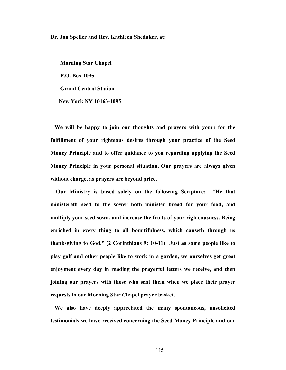**Dr. Jon Speller and Rev. Kathleen Shedaker, at:** 

 **Morning Star Chapel P.O. Box 1095 Grand Central Station New York NY 10163-1095** 

**We will be happy to join our thoughts and prayers with yours for the fulfillment of your righteous desires through your practice of the Seed Money Principle and to offer guidance to you regarding applying the Seed Money Principle in your personal situation. Our prayers are always given without charge, as prayers are beyond price.** 

**Our Ministry is based solely on the following Scripture: "He that ministereth seed to the sower both minister bread for your food, and multiply your seed sown, and increase the fruits of your righteousness. Being enriched in every thing to all bountifulness, which causeth through us thanksgiving to God." (2 Corinthians 9: 10-11) Just as some people like to play golf and other people like to work in a garden, we ourselves get great enjoyment every day in reading the prayerful letters we receive, and then joining our prayers with those who sent them when we place their prayer requests in our Morning Star Chapel prayer basket.** 

**We also have deeply appreciated the many spontaneous, unsolicited testimonials we have received concerning the Seed Money Principle and our**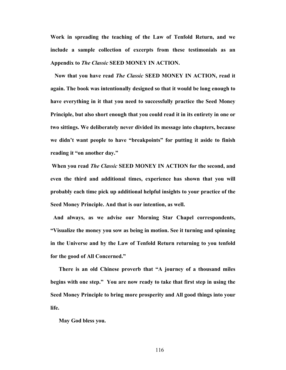**Work in spreading the teaching of the Law of Tenfold Return, and we include a sample collection of excerpts from these testimonials as an Appendix to** *The Classic* **SEED MONEY IN ACTION.** 

**Now that you have read** *The Classic* **SEED MONEY IN ACTION, read it again. The book was intentionally designed so that it would be long enough to have everything in it that you need to successfully practice the Seed Money Principle, but also short enough that you could read it in its entirety in one or two sittings. We deliberately never divided its message into chapters, because we didn't want people to have "breakpoints" for putting it aside to finish reading it "on another day."** 

**When you read** *The Classic* **SEED MONEY IN ACTION for the second, and even the third and additional times, experience has shown that you will probably each time pick up additional helpful insights to your practice of the Seed Money Principle. And that is our intention, as well.** 

**And always, as we advise our Morning Star Chapel correspondents, "Visualize the money you sow as being in motion. See it turning and spinning in the Universe and by the Law of Tenfold Return returning to you tenfold for the good of All Concerned."** 

 **There is an old Chinese proverb that "A journey of a thousand miles begins with one step." You are now ready to take that first step in using the Seed Money Principle to bring more prosperity and All good things into your life.** 

 **May God bless you.**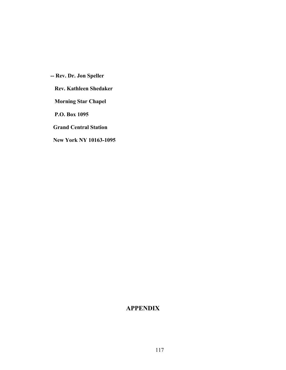**-- Rev. Dr. Jon Speller Rev. Kathleen Shedaker Morning Star Chapel P.O. Box 1095 Grand Central Station New York NY 10163-1095** 

# **APPENDIX**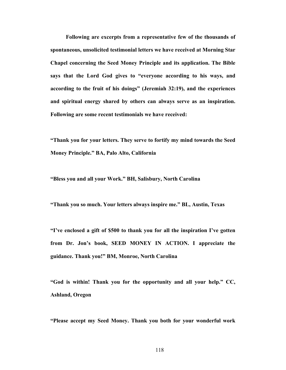**Following are excerpts from a representative few of the thousands of spontaneous, unsolicited testimonial letters we have received at Morning Star Chapel concerning the Seed Money Principle and its application. The Bible says that the Lord God gives to "everyone according to his ways, and according to the fruit of his doings" (Jeremiah 32:19), and the experiences and spiritual energy shared by others can always serve as an inspiration. Following are some recent testimonials we have received:** 

**"Thank you for your letters. They serve to fortify my mind towards the Seed Money Principle." BA, Palo Alto, California** 

**"Bless you and all your Work." BH, Salisbury, North Carolina** 

**"Thank you so much. Your letters always inspire me." BL, Austin, Texas** 

**"I've enclosed a gift of \$500 to thank you for all the inspiration I've gotten from Dr. Jon's book, SEED MONEY IN ACTION. I appreciate the guidance. Thank you!" BM, Monroe, North Carolina** 

**"God is within! Thank you for the opportunity and all your help." CC, Ashland, Oregon** 

**"Please accept my Seed Money. Thank you both for your wonderful work**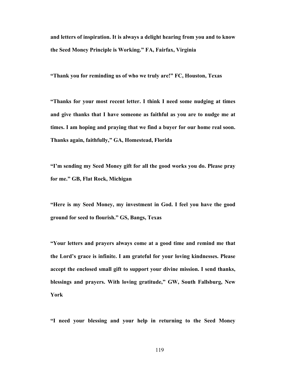**and letters of inspiration. It is always a delight hearing from you and to know the Seed Money Principle is Working." FA, Fairfax, Virginia** 

**"Thank you for reminding us of who we truly are!" FC, Houston, Texas** 

**"Thanks for your most recent letter. I think I need some nudging at times and give thanks that I have someone as faithful as you are to nudge me at times. I am hoping and praying that we find a buyer for our home real soon. Thanks again, faithfully," GA, Homestead, Florida** 

**"I'm sending my Seed Money gift for all the good works you do. Please pray for me." GB, Flat Rock, Michigan** 

**"Here is my Seed Money, my investment in God. I feel you have the good ground for seed to flourish." GS, Bangs, Texas** 

**"Your letters and prayers always come at a good time and remind me that the Lord's grace is infinite. I am grateful for your loving kindnesses. Please accept the enclosed small gift to support your divine mission. I send thanks, blessings and prayers. With loving gratitude," GW, South Fallsburg, New York**

**"I need your blessing and your help in returning to the Seed Money**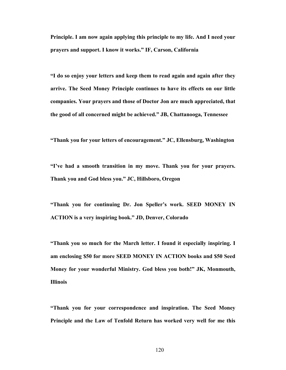**Principle. I am now again applying this principle to my life. And I need your prayers and support. I know it works." IF, Carson, California** 

**"I do so enjoy your letters and keep them to read again and again after they arrive. The Seed Money Principle continues to have its effects on our little companies. Your prayers and those of Doctor Jon are much appreciated, that the good of all concerned might be achieved." JB, Chattanooga, Tennessee** 

**"Thank you for your letters of encouragement." JC, Ellensburg, Washington** 

**"I've had a smooth transition in my move. Thank you for your prayers. Thank you and God bless you." JC, Hillsboro, Oregon** 

**"Thank you for continuing Dr. Jon Speller's work. SEED MONEY IN ACTION is a very inspiring book." JD, Denver, Colorado** 

**"Thank you so much for the March letter. I found it especially inspiring. I am enclosing \$50 for more SEED MONEY IN ACTION books and \$50 Seed Money for your wonderful Ministry. God bless you both!" JK, Monmouth, Illinois** 

**"Thank you for your correspondence and inspiration. The Seed Money Principle and the Law of Tenfold Return has worked very well for me this**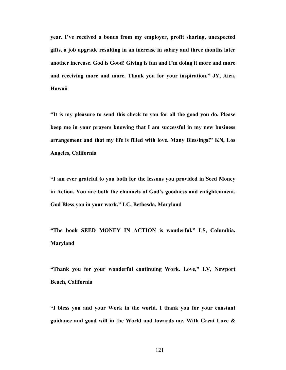**year. I've received a bonus from my employer, profit sharing, unexpected gifts, a job upgrade resulting in an increase in salary and three months later another increase. God is Good! Giving is fun and I'm doing it more and more and receiving more and more. Thank you for your inspiration." JY, Aiea, Hawaii** 

**"It is my pleasure to send this check to you for all the good you do. Please keep me in your prayers knowing that I am successful in my new business arrangement and that my life is filled with love. Many Blessings!" KN, Los Angeles, California** 

**"I am ever grateful to you both for the lessons you provided in Seed Money in Action. You are both the channels of God's goodness and enlightenment. God Bless you in your work." LC, Bethesda, Maryland** 

**"The book SEED MONEY IN ACTION is wonderful." LS, Columbia, Maryland** 

**"Thank you for your wonderful continuing Work. Love," LV, Newport Beach, California** 

**"I bless you and your Work in the world. I thank you for your constant guidance and good will in the World and towards me. With Great Love &**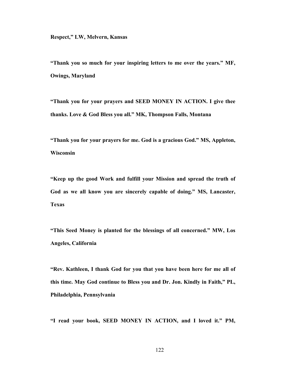**Respect," LW, Melvern, Kansas** 

**"Thank you so much for your inspiring letters to me over the years." MF, Owings, Maryland** 

**"Thank you for your prayers and SEED MONEY IN ACTION. I give thee thanks. Love & God Bless you all." MK, Thompson Falls, Montana** 

**"Thank you for your prayers for me. God is a gracious God." MS, Appleton, Wisconsin** 

**"Keep up the good Work and fulfill your Mission and spread the truth of God as we all know you are sincerely capable of doing." MS, Lancaster, Texas** 

**"This Seed Money is planted for the blessings of all concerned." MW, Los Angeles, California** 

**"Rev. Kathleen, I thank God for you that you have been here for me all of this time. May God continue to Bless you and Dr. Jon. Kindly in Faith," PL, Philadelphia, Pennsylvania** 

**"I read your book, SEED MONEY IN ACTION, and I loved it." PM,**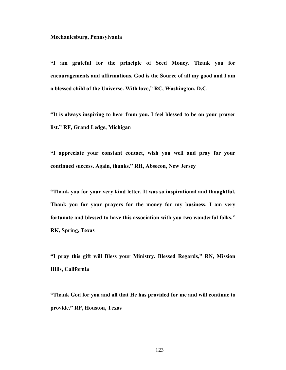#### **Mechanicsburg, Pennsylvania**

**"I am grateful for the principle of Seed Money. Thank you for encouragements and affirmations. God is the Source of all my good and I am a blessed child of the Universe. With love," RC, Washington, D.C.** 

**"It is always inspiring to hear from you. I feel blessed to be on your prayer list." RF, Grand Ledge, Michigan** 

**"I appreciate your constant contact, wish you well and pray for your continued success. Again, thanks." RH, Absecon, New Jersey** 

**"Thank you for your very kind letter. It was so inspirational and thoughtful. Thank you for your prayers for the money for my business. I am very fortunate and blessed to have this association with you two wonderful folks." RK, Spring, Texas** 

**"I pray this gift will Bless your Ministry. Blessed Regards," RN, Mission Hills, California** 

**"Thank God for you and all that He has provided for me and will continue to provide." RP, Houston, Texas**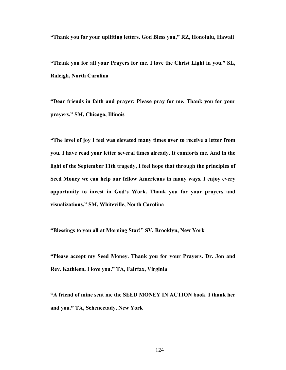**"Thank you for your uplifting letters. God Bless you," RZ, Honolulu, Hawaii** 

**"Thank you for all your Prayers for me. I love the Christ Light in you." SL, Raleigh, North Carolina** 

**"Dear friends in faith and prayer: Please pray for me. Thank you for your prayers." SM, Chicago, Illinois** 

**"The level of joy I feel was elevated many times over to receive a letter from you. I have read your letter several times already. It comforts me. And in the light of the September 11th tragedy, I feel hope that through the principles of Seed Money we can help our fellow Americans in many ways. I enjoy every opportunity to invest in God's Work. Thank you for your prayers and visualizations." SM, Whiteville, North Carolina** 

**"Blessings to you all at Morning Star!" SV, Brooklyn, New York** 

**"Please accept my Seed Money. Thank you for your Prayers. Dr. Jon and Rev. Kathleen, I love you." TA, Fairfax, Virginia** 

**"A friend of mine sent me the SEED MONEY IN ACTION book. I thank her and you." TA, Schenectady, New York**